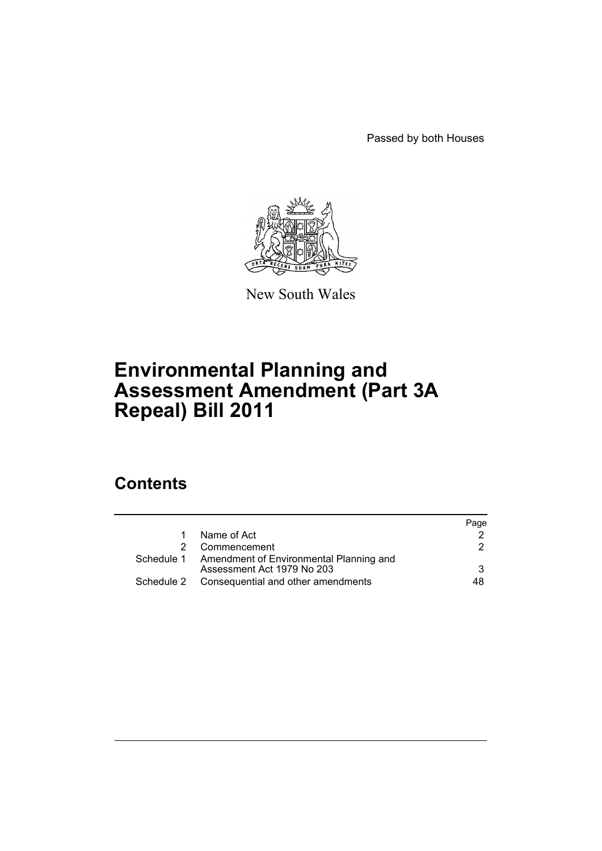Passed by both Houses



New South Wales

# **Environmental Planning and Assessment Amendment (Part 3A Repeal) Bill 2011**

# **Contents**

|   |                                                                                  | Page |
|---|----------------------------------------------------------------------------------|------|
|   | Name of Act                                                                      |      |
| 2 | Commencement                                                                     | 2    |
|   | Schedule 1 Amendment of Environmental Planning and<br>Assessment Act 1979 No 203 | 3    |
|   | Schedule 2 Consequential and other amendments                                    | 48.  |
|   |                                                                                  |      |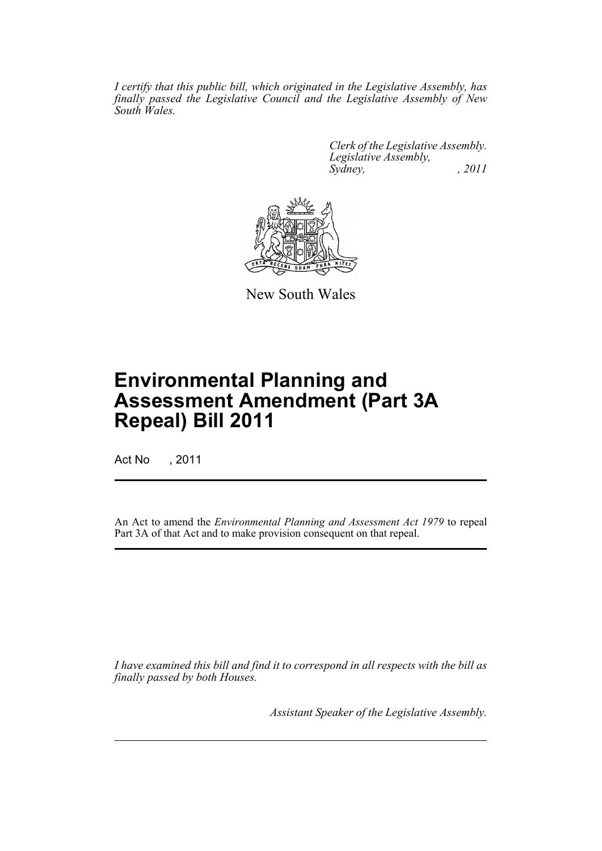*I certify that this public bill, which originated in the Legislative Assembly, has finally passed the Legislative Council and the Legislative Assembly of New South Wales.*

> *Clerk of the Legislative Assembly. Legislative Assembly, Sydney, , 2011*



New South Wales

# **Environmental Planning and Assessment Amendment (Part 3A Repeal) Bill 2011**

Act No , 2011

An Act to amend the *Environmental Planning and Assessment Act 1979* to repeal Part 3A of that Act and to make provision consequent on that repeal.

*I have examined this bill and find it to correspond in all respects with the bill as finally passed by both Houses.*

*Assistant Speaker of the Legislative Assembly.*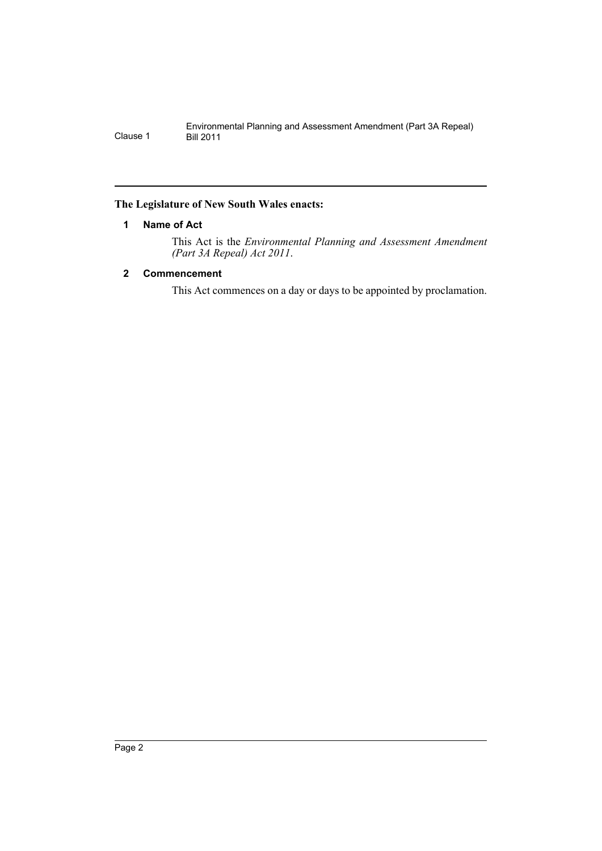## <span id="page-3-0"></span>**The Legislature of New South Wales enacts:**

## **1 Name of Act**

This Act is the *Environmental Planning and Assessment Amendment (Part 3A Repeal) Act 2011*.

## <span id="page-3-1"></span>**2 Commencement**

This Act commences on a day or days to be appointed by proclamation.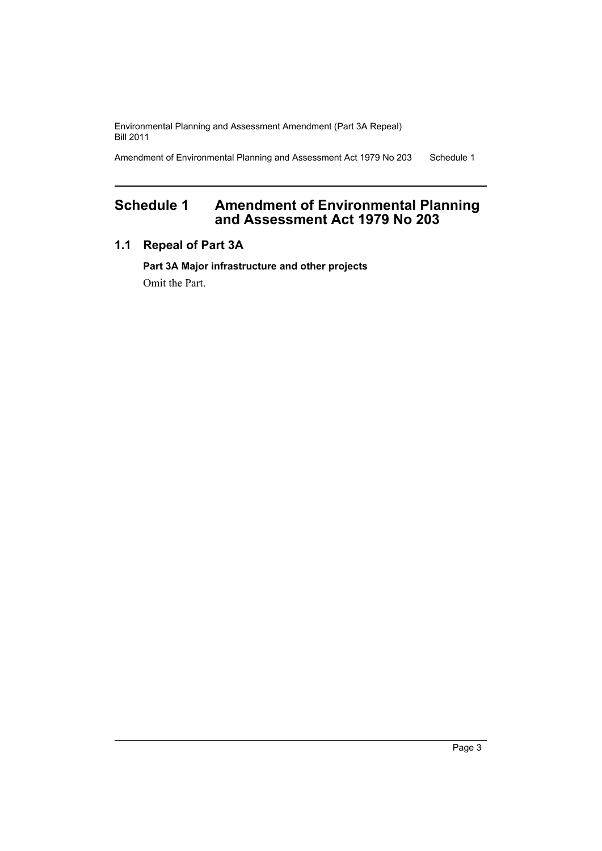Amendment of Environmental Planning and Assessment Act 1979 No 203 Schedule 1

## <span id="page-4-0"></span>**Schedule 1 Amendment of Environmental Planning and Assessment Act 1979 No 203**

## **1.1 Repeal of Part 3A**

**Part 3A Major infrastructure and other projects** Omit the Part.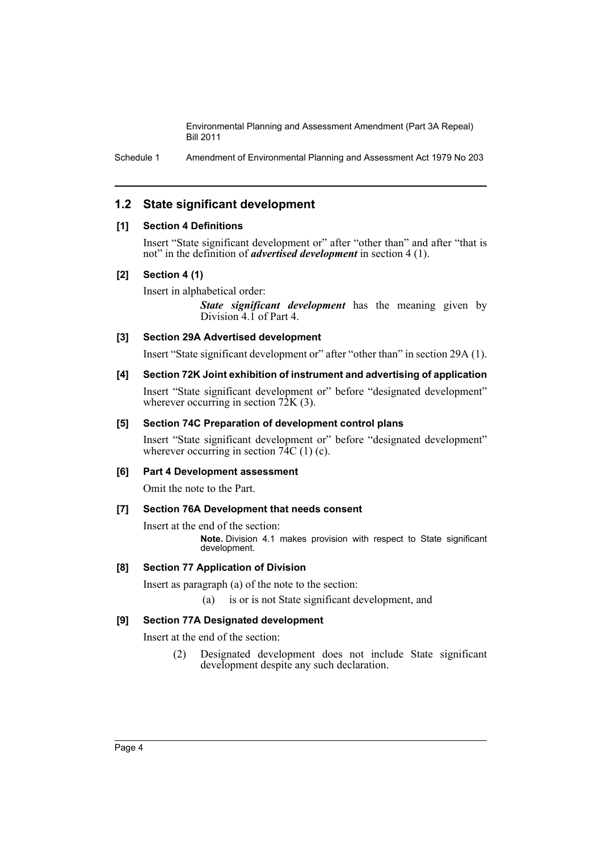Schedule 1 Amendment of Environmental Planning and Assessment Act 1979 No 203

## **1.2 State significant development**

## **[1] Section 4 Definitions**

Insert "State significant development or" after "other than" and after "that is not" in the definition of *advertised development* in section 4 (1).

#### **[2] Section 4 (1)**

Insert in alphabetical order:

*State significant development* has the meaning given by Division 4.1 of Part 4.

**[3] Section 29A Advertised development**

Insert "State significant development or" after "other than" in section 29A (1).

#### **[4] Section 72K Joint exhibition of instrument and advertising of application**

Insert "State significant development or" before "designated development" wherever occurring in section 72K (3).

#### **[5] Section 74C Preparation of development control plans**

Insert "State significant development or" before "designated development" wherever occurring in section  $74C(1)(c)$ .

#### **[6] Part 4 Development assessment**

Omit the note to the Part.

#### **[7] Section 76A Development that needs consent**

Insert at the end of the section:

**Note.** Division 4.1 makes provision with respect to State significant development.

## **[8] Section 77 Application of Division**

Insert as paragraph (a) of the note to the section:

(a) is or is not State significant development, and

## **[9] Section 77A Designated development**

Insert at the end of the section:

(2) Designated development does not include State significant development despite any such declaration.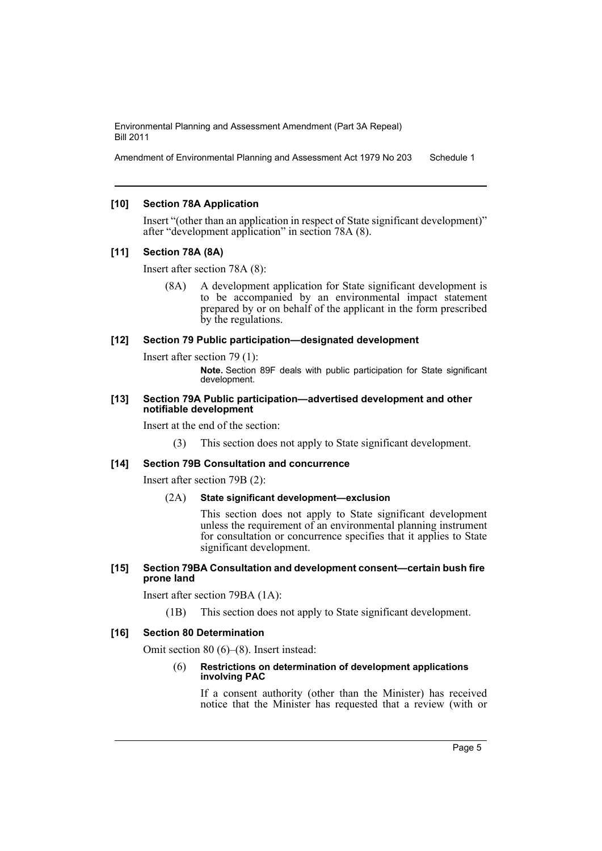Amendment of Environmental Planning and Assessment Act 1979 No 203 Schedule 1

#### **[10] Section 78A Application**

Insert "(other than an application in respect of State significant development)" after "development application" in section 78A (8).

#### **[11] Section 78A (8A)**

Insert after section 78A (8):

(8A) A development application for State significant development is to be accompanied by an environmental impact statement prepared by or on behalf of the applicant in the form prescribed by the regulations.

#### **[12] Section 79 Public participation—designated development**

Insert after section 79 (1):

**Note.** Section 89F deals with public participation for State significant development.

#### **[13] Section 79A Public participation—advertised development and other notifiable development**

Insert at the end of the section:

(3) This section does not apply to State significant development.

#### **[14] Section 79B Consultation and concurrence**

Insert after section 79B (2):

(2A) **State significant development—exclusion**

This section does not apply to State significant development unless the requirement of an environmental planning instrument for consultation or concurrence specifies that it applies to State significant development.

#### **[15] Section 79BA Consultation and development consent—certain bush fire prone land**

Insert after section 79BA (1A):

(1B) This section does not apply to State significant development.

## **[16] Section 80 Determination**

Omit section 80 (6)–(8). Insert instead:

#### (6) **Restrictions on determination of development applications involving PAC**

If a consent authority (other than the Minister) has received notice that the Minister has requested that a review (with or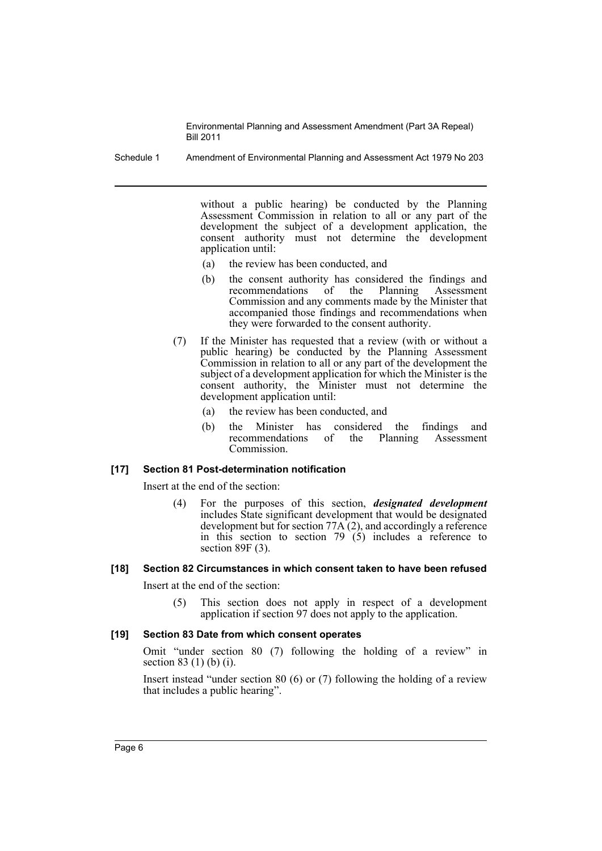Schedule 1 Amendment of Environmental Planning and Assessment Act 1979 No 203

without a public hearing) be conducted by the Planning Assessment Commission in relation to all or any part of the development the subject of a development application, the consent authority must not determine the development application until:

- (a) the review has been conducted, and
- (b) the consent authority has considered the findings and recommendations of the Planning Assessment Commission and any comments made by the Minister that accompanied those findings and recommendations when they were forwarded to the consent authority.
- (7) If the Minister has requested that a review (with or without a public hearing) be conducted by the Planning Assessment Commission in relation to all or any part of the development the subject of a development application for which the Minister is the consent authority, the Minister must not determine the development application until:
	- (a) the review has been conducted, and
	- (b) the Minister has considered the findings and recommendations of the Planning Assessment Commission.

## **[17] Section 81 Post-determination notification**

Insert at the end of the section:

(4) For the purposes of this section, *designated development* includes State significant development that would be designated development but for section  $77A(2)$ , and accordingly a reference in this section to section 79  $(5)$  includes a reference to section 89F (3).

## **[18] Section 82 Circumstances in which consent taken to have been refused**

Insert at the end of the section:

(5) This section does not apply in respect of a development application if section 97 does not apply to the application.

#### **[19] Section 83 Date from which consent operates**

Omit "under section 80 (7) following the holding of a review" in section 83 (1) (b) (i).

Insert instead "under section 80 (6) or (7) following the holding of a review that includes a public hearing".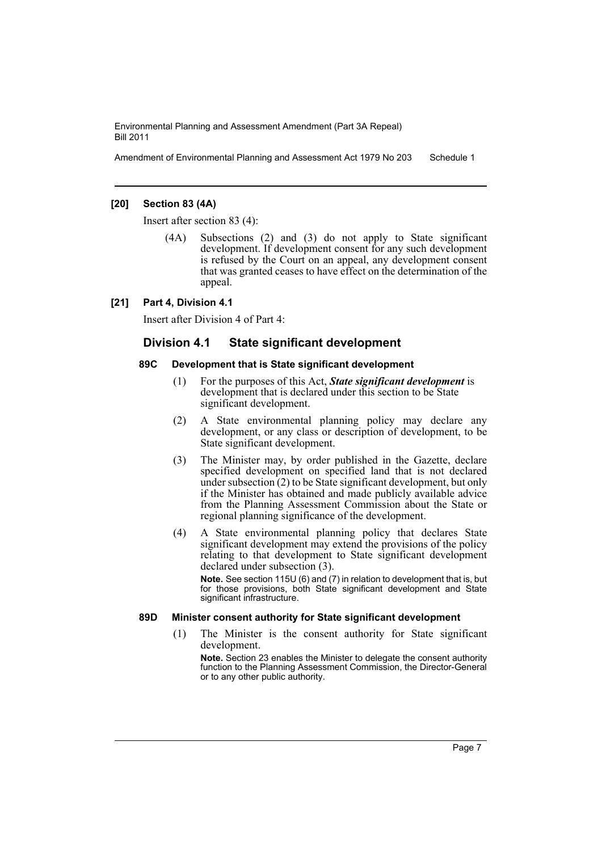Amendment of Environmental Planning and Assessment Act 1979 No 203 Schedule 1

#### **[20] Section 83 (4A)**

Insert after section 83 (4):

(4A) Subsections (2) and (3) do not apply to State significant development. If development consent for any such development is refused by the Court on an appeal, any development consent that was granted ceases to have effect on the determination of the appeal.

#### **[21] Part 4, Division 4.1**

Insert after Division 4 of Part 4:

## **Division 4.1 State significant development**

#### **89C Development that is State significant development**

- (1) For the purposes of this Act, *State significant development* is development that is declared under this section to be State significant development.
- (2) A State environmental planning policy may declare any development, or any class or description of development, to be State significant development.
- (3) The Minister may, by order published in the Gazette, declare specified development on specified land that is not declared under subsection (2) to be State significant development, but only if the Minister has obtained and made publicly available advice from the Planning Assessment Commission about the State or regional planning significance of the development.
- (4) A State environmental planning policy that declares State significant development may extend the provisions of the policy relating to that development to State significant development declared under subsection (3).

**Note.** See section 115U (6) and (7) in relation to development that is, but for those provisions, both State significant development and State significant infrastructure.

## **89D Minister consent authority for State significant development**

(1) The Minister is the consent authority for State significant development.

**Note.** Section 23 enables the Minister to delegate the consent authority function to the Planning Assessment Commission, the Director-General or to any other public authority.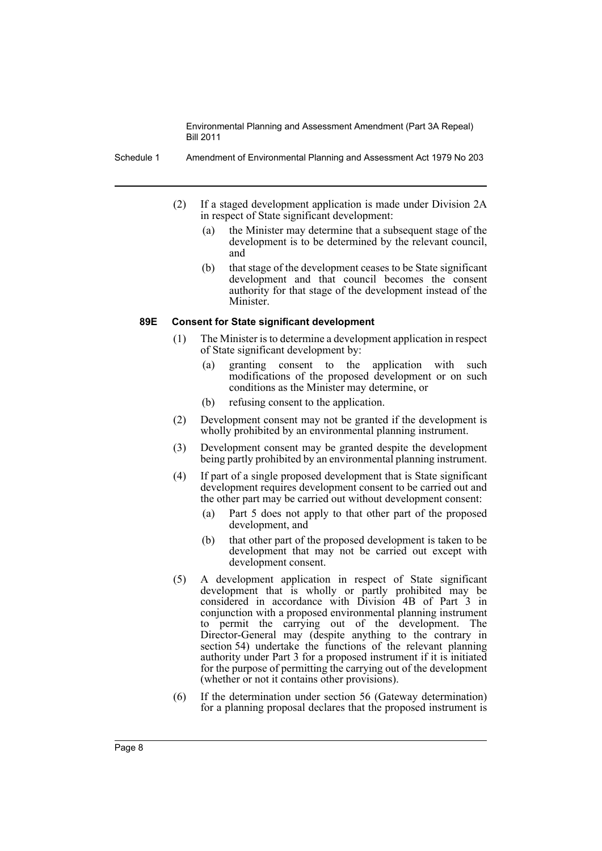Schedule 1 Amendment of Environmental Planning and Assessment Act 1979 No 203

- (2) If a staged development application is made under Division 2A in respect of State significant development:
	- (a) the Minister may determine that a subsequent stage of the development is to be determined by the relevant council, and
	- (b) that stage of the development ceases to be State significant development and that council becomes the consent authority for that stage of the development instead of the Minister.

#### **89E Consent for State significant development**

- (1) The Minister is to determine a development application in respect of State significant development by:
	- (a) granting consent to the application with such modifications of the proposed development or on such conditions as the Minister may determine, or
	- (b) refusing consent to the application.
- (2) Development consent may not be granted if the development is wholly prohibited by an environmental planning instrument.
- (3) Development consent may be granted despite the development being partly prohibited by an environmental planning instrument.
- (4) If part of a single proposed development that is State significant development requires development consent to be carried out and the other part may be carried out without development consent:
	- (a) Part 5 does not apply to that other part of the proposed development, and
	- (b) that other part of the proposed development is taken to be development that may not be carried out except with development consent.
- (5) A development application in respect of State significant development that is wholly or partly prohibited may be considered in accordance with Division 4B of Part 3 in conjunction with a proposed environmental planning instrument to permit the carrying out of the development. The Director-General may (despite anything to the contrary in section 54) undertake the functions of the relevant planning authority under Part 3 for a proposed instrument if it is initiated for the purpose of permitting the carrying out of the development (whether or not it contains other provisions).
- (6) If the determination under section 56 (Gateway determination) for a planning proposal declares that the proposed instrument is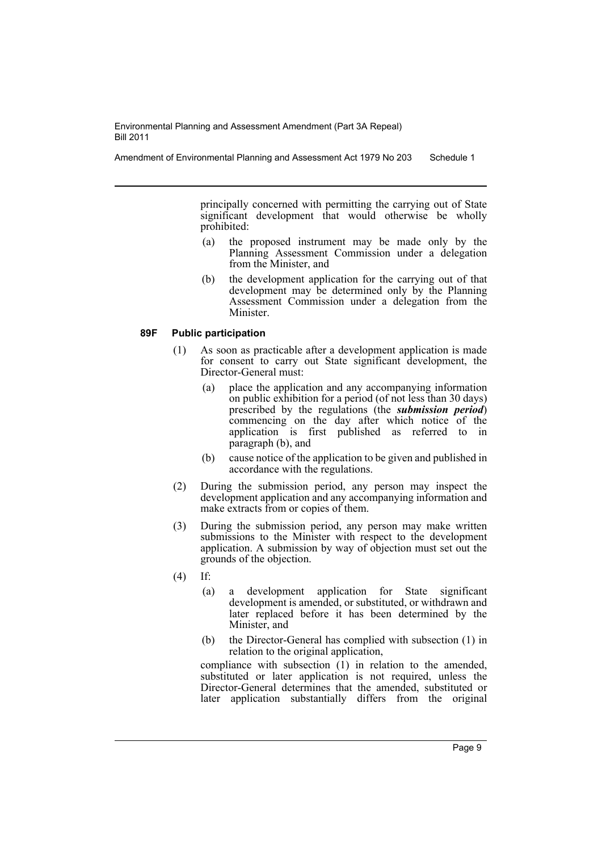principally concerned with permitting the carrying out of State significant development that would otherwise be wholly prohibited:

- (a) the proposed instrument may be made only by the Planning Assessment Commission under a delegation from the Minister, and
- (b) the development application for the carrying out of that development may be determined only by the Planning Assessment Commission under a delegation from the Minister.

## **89F Public participation**

- (1) As soon as practicable after a development application is made for consent to carry out State significant development, the Director-General must:
	- (a) place the application and any accompanying information on public exhibition for a period (of not less than 30 days) prescribed by the regulations (the *submission period*) commencing on the day after which notice of the application is first published as referred to in paragraph (b), and
	- (b) cause notice of the application to be given and published in accordance with the regulations.
- (2) During the submission period, any person may inspect the development application and any accompanying information and make extracts from or copies of them.
- (3) During the submission period, any person may make written submissions to the Minister with respect to the development application. A submission by way of objection must set out the grounds of the objection.
- (4) If:
	- (a) a development application for State significant development is amended, or substituted, or withdrawn and later replaced before it has been determined by the Minister, and
	- (b) the Director-General has complied with subsection (1) in relation to the original application,

compliance with subsection (1) in relation to the amended, substituted or later application is not required, unless the Director-General determines that the amended, substituted or later application substantially differs from the original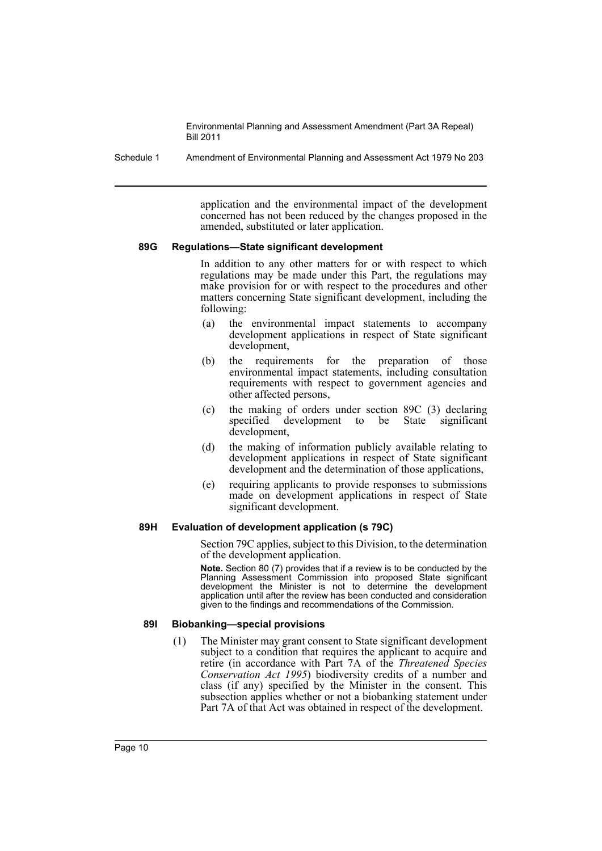Schedule 1 Amendment of Environmental Planning and Assessment Act 1979 No 203

application and the environmental impact of the development concerned has not been reduced by the changes proposed in the amended, substituted or later application.

#### **89G Regulations—State significant development**

In addition to any other matters for or with respect to which regulations may be made under this Part, the regulations may make provision for or with respect to the procedures and other matters concerning State significant development, including the following:

- (a) the environmental impact statements to accompany development applications in respect of State significant development,
- (b) the requirements for the preparation of those environmental impact statements, including consultation requirements with respect to government agencies and other affected persons,
- (c) the making of orders under section 89C (3) declaring specified development to be State significant development,
- (d) the making of information publicly available relating to development applications in respect of State significant development and the determination of those applications,
- (e) requiring applicants to provide responses to submissions made on development applications in respect of State significant development.

## **89H Evaluation of development application (s 79C)**

Section 79C applies, subject to this Division, to the determination of the development application.

**Note.** Section 80 (7) provides that if a review is to be conducted by the Planning Assessment Commission into proposed State significant development the Minister is not to determine the development application until after the review has been conducted and consideration given to the findings and recommendations of the Commission.

#### **89I Biobanking—special provisions**

(1) The Minister may grant consent to State significant development subject to a condition that requires the applicant to acquire and retire (in accordance with Part 7A of the *Threatened Species Conservation Act 1995*) biodiversity credits of a number and class (if any) specified by the Minister in the consent. This subsection applies whether or not a biobanking statement under Part 7A of that Act was obtained in respect of the development.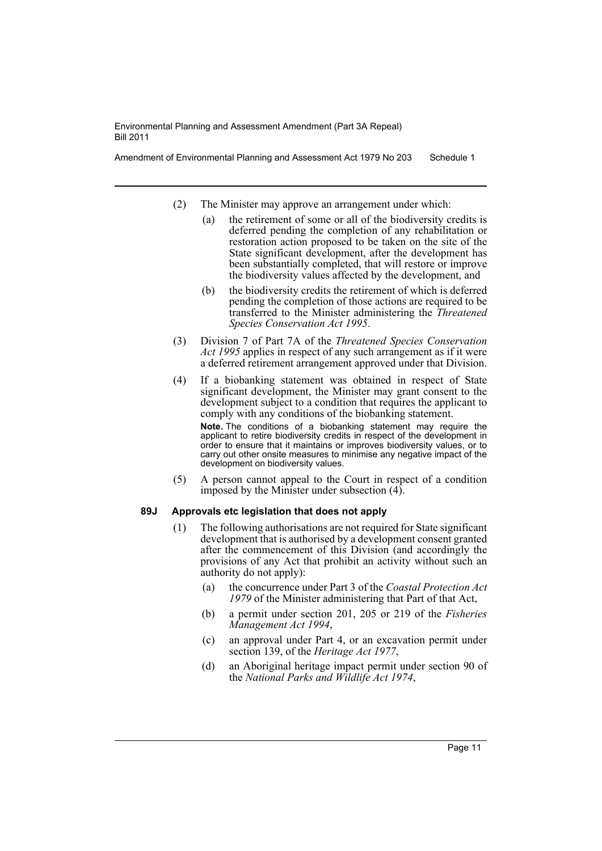Amendment of Environmental Planning and Assessment Act 1979 No 203 Schedule 1

- (2) The Minister may approve an arrangement under which:
	- (a) the retirement of some or all of the biodiversity credits is deferred pending the completion of any rehabilitation or restoration action proposed to be taken on the site of the State significant development, after the development has been substantially completed, that will restore or improve the biodiversity values affected by the development, and
	- (b) the biodiversity credits the retirement of which is deferred pending the completion of those actions are required to be transferred to the Minister administering the *Threatened Species Conservation Act 1995*.
- (3) Division 7 of Part 7A of the *Threatened Species Conservation Act 1995* applies in respect of any such arrangement as if it were a deferred retirement arrangement approved under that Division.
- (4) If a biobanking statement was obtained in respect of State significant development, the Minister may grant consent to the development subject to a condition that requires the applicant to comply with any conditions of the biobanking statement. **Note.** The conditions of a biobanking statement may require the applicant to retire biodiversity credits in respect of the development in order to ensure that it maintains or improves biodiversity values, or to carry out other onsite measures to minimise any negative impact of the development on biodiversity values.
- (5) A person cannot appeal to the Court in respect of a condition imposed by the Minister under subsection (4).

## **89J Approvals etc legislation that does not apply**

- (1) The following authorisations are not required for State significant development that is authorised by a development consent granted after the commencement of this Division (and accordingly the provisions of any Act that prohibit an activity without such an authority do not apply):
	- (a) the concurrence under Part 3 of the *Coastal Protection Act 1979* of the Minister administering that Part of that Act,
	- (b) a permit under section 201, 205 or 219 of the *Fisheries Management Act 1994*,
	- (c) an approval under Part 4, or an excavation permit under section 139, of the *Heritage Act 1977*,
	- (d) an Aboriginal heritage impact permit under section 90 of the *National Parks and Wildlife Act 1974*,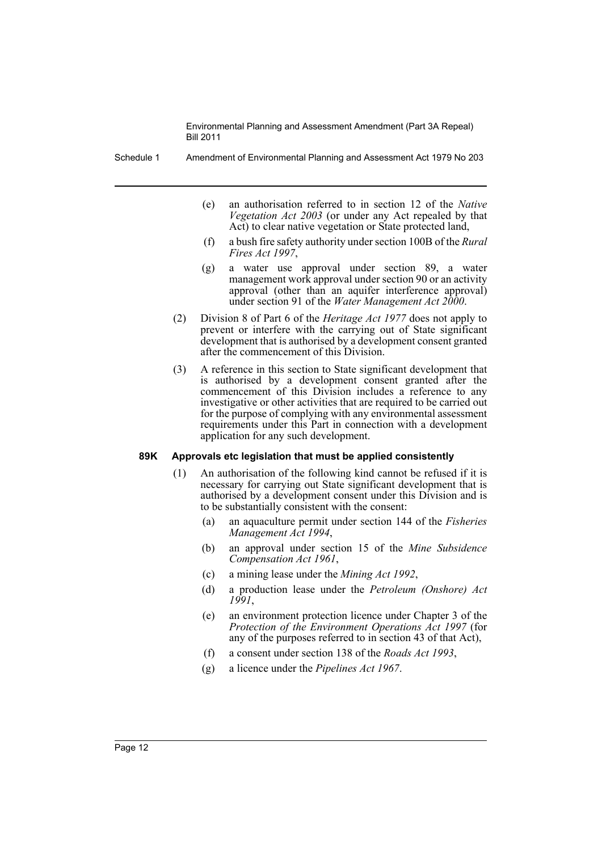Schedule 1 Amendment of Environmental Planning and Assessment Act 1979 No 203

- (e) an authorisation referred to in section 12 of the *Native Vegetation Act 2003* (or under any Act repealed by that Act) to clear native vegetation or State protected land,
- (f) a bush fire safety authority under section 100B of the *Rural Fires Act 1997*,
- (g) a water use approval under section 89, a water management work approval under section 90 or an activity approval (other than an aquifer interference approval) under section 91 of the *Water Management Act 2000*.
- (2) Division 8 of Part 6 of the *Heritage Act 1977* does not apply to prevent or interfere with the carrying out of State significant development that is authorised by a development consent granted after the commencement of this Division.
- (3) A reference in this section to State significant development that is authorised by a development consent granted after the commencement of this Division includes a reference to any investigative or other activities that are required to be carried out for the purpose of complying with any environmental assessment requirements under this Part in connection with a development application for any such development.

#### **89K Approvals etc legislation that must be applied consistently**

- (1) An authorisation of the following kind cannot be refused if it is necessary for carrying out State significant development that is authorised by a development consent under this Division and is to be substantially consistent with the consent:
	- (a) an aquaculture permit under section 144 of the *Fisheries Management Act 1994*,
	- (b) an approval under section 15 of the *Mine Subsidence Compensation Act 1961*,
	- (c) a mining lease under the *Mining Act 1992*,
	- (d) a production lease under the *Petroleum (Onshore) Act 1991*,
	- (e) an environment protection licence under Chapter 3 of the *Protection of the Environment Operations Act 1997* (for any of the purposes referred to in section 43 of that Act),
	- (f) a consent under section 138 of the *Roads Act 1993*,
	- (g) a licence under the *Pipelines Act 1967*.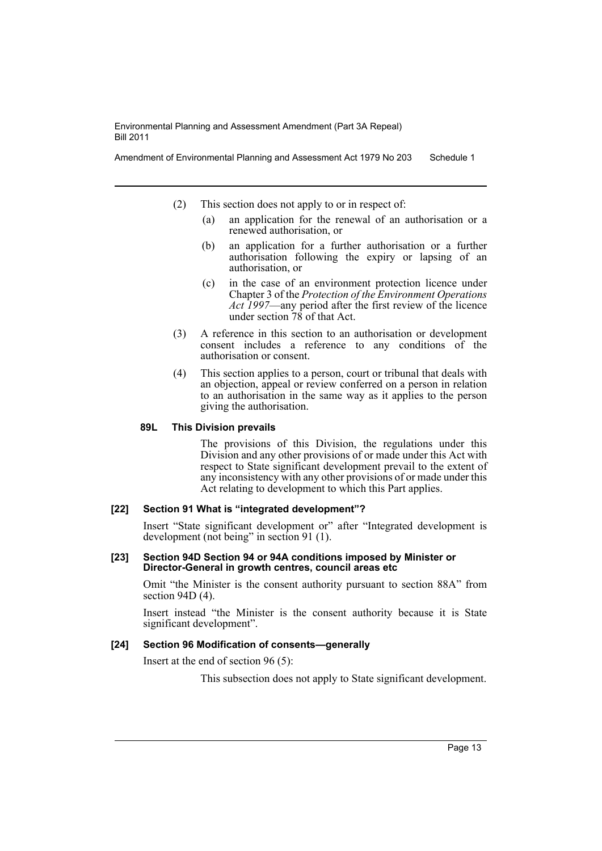Amendment of Environmental Planning and Assessment Act 1979 No 203 Schedule 1

- (2) This section does not apply to or in respect of:
	- (a) an application for the renewal of an authorisation or a renewed authorisation, or
	- (b) an application for a further authorisation or a further authorisation following the expiry or lapsing of an authorisation, or
	- (c) in the case of an environment protection licence under Chapter 3 of the *Protection of the Environment Operations Act 1997*—any period after the first review of the licence under section  $\frac{78}{9}$  of that Act.
- (3) A reference in this section to an authorisation or development consent includes a reference to any conditions of the authorisation or consent.
- (4) This section applies to a person, court or tribunal that deals with an objection, appeal or review conferred on a person in relation to an authorisation in the same way as it applies to the person giving the authorisation.

## **89L This Division prevails**

The provisions of this Division, the regulations under this Division and any other provisions of or made under this Act with respect to State significant development prevail to the extent of any inconsistency with any other provisions of or made under this Act relating to development to which this Part applies.

## **[22] Section 91 What is "integrated development"?**

Insert "State significant development or" after "Integrated development is development (not being" in section 91 (1).

#### **[23] Section 94D Section 94 or 94A conditions imposed by Minister or Director-General in growth centres, council areas etc**

Omit "the Minister is the consent authority pursuant to section 88A" from section 94D (4).

Insert instead "the Minister is the consent authority because it is State significant development".

## **[24] Section 96 Modification of consents—generally**

Insert at the end of section 96 (5):

This subsection does not apply to State significant development.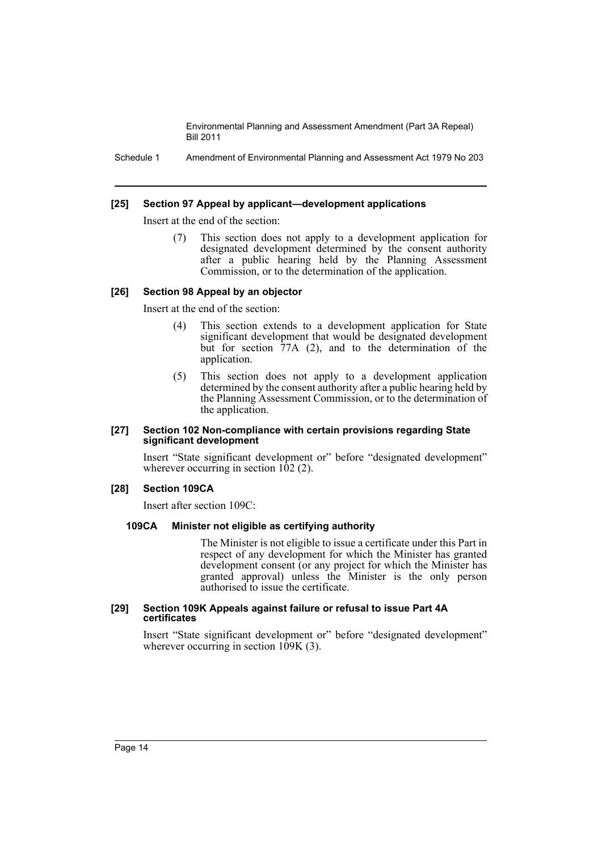Schedule 1 Amendment of Environmental Planning and Assessment Act 1979 No 203

#### **[25] Section 97 Appeal by applicant—development applications**

Insert at the end of the section:

(7) This section does not apply to a development application for designated development determined by the consent authority after a public hearing held by the Planning Assessment Commission, or to the determination of the application.

#### **[26] Section 98 Appeal by an objector**

Insert at the end of the section:

- (4) This section extends to a development application for State significant development that would be designated development but for section 77A (2), and to the determination of the application.
- (5) This section does not apply to a development application determined by the consent authority after a public hearing held by the Planning Assessment Commission, or to the determination of the application.

#### **[27] Section 102 Non-compliance with certain provisions regarding State significant development**

Insert "State significant development or" before "designated development" wherever occurring in section  $102$  (2).

#### **[28] Section 109CA**

Insert after section 109C:

## **109CA Minister not eligible as certifying authority**

The Minister is not eligible to issue a certificate under this Part in respect of any development for which the Minister has granted development consent (or any project for which the Minister has granted approval) unless the Minister is the only person authorised to issue the certificate.

#### **[29] Section 109K Appeals against failure or refusal to issue Part 4A certificates**

Insert "State significant development or" before "designated development" wherever occurring in section  $109K$  (3).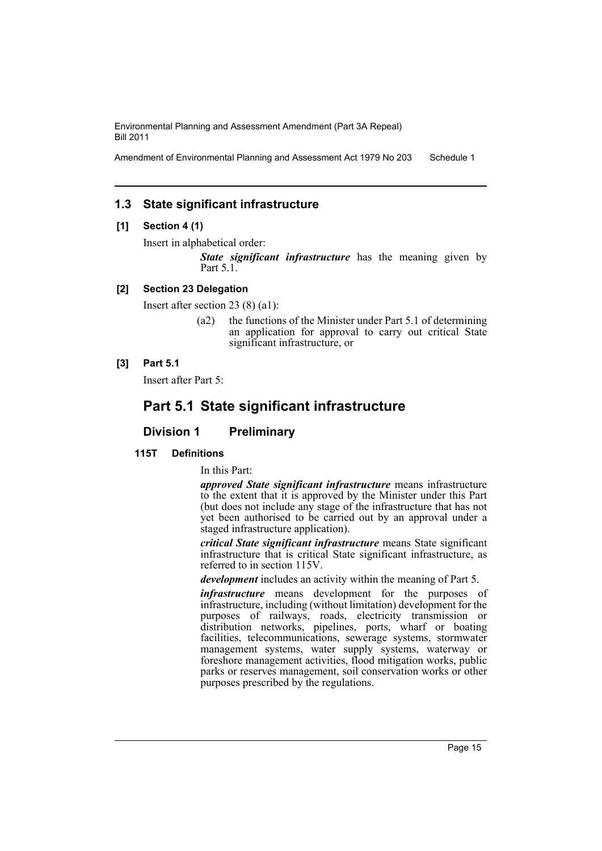Amendment of Environmental Planning and Assessment Act 1979 No 203 Schedule 1

## **1.3 State significant infrastructure**

## **[1] Section 4 (1)**

Insert in alphabetical order:

*State significant infrastructure* has the meaning given by Part 5.1.

## **[2] Section 23 Delegation**

Insert after section 23 (8) (a1):

(a2) the functions of the Minister under Part 5.1 of determining an application for approval to carry out critical State significant infrastructure, or

## **[3] Part 5.1**

Insert after Part 5:

## **Part 5.1 State significant infrastructure**

## **Division 1 Preliminary**

## **115T Definitions**

In this Part:

*approved State significant infrastructure* means infrastructure to the extent that it is approved by the Minister under this Part (but does not include any stage of the infrastructure that has not yet been authorised to be carried out by an approval under a staged infrastructure application).

*critical State significant infrastructure* means State significant infrastructure that is critical State significant infrastructure, as referred to in section 115V.

*development* includes an activity within the meaning of Part 5.

*infrastructure* means development for the purposes of infrastructure, including (without limitation) development for the purposes of railways, roads, electricity transmission or distribution networks, pipelines, ports, wharf or boating facilities, telecommunications, sewerage systems, stormwater management systems, water supply systems, waterway or foreshore management activities, flood mitigation works, public parks or reserves management, soil conservation works or other purposes prescribed by the regulations.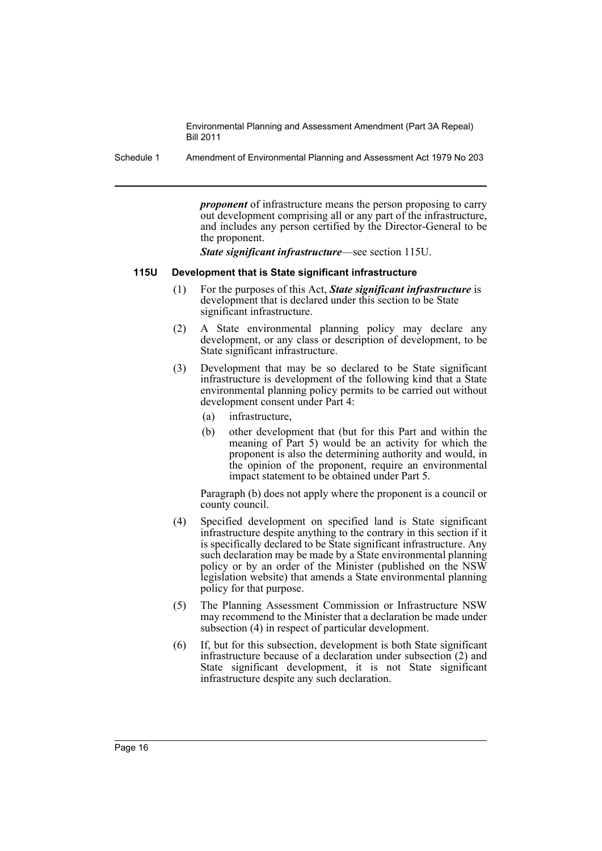Schedule 1 Amendment of Environmental Planning and Assessment Act 1979 No 203

*proponent* of infrastructure means the person proposing to carry out development comprising all or any part of the infrastructure, and includes any person certified by the Director-General to be the proponent.

*State significant infrastructure*—see section 115U.

#### **115U Development that is State significant infrastructure**

- (1) For the purposes of this Act, *State significant infrastructure* is development that is declared under this section to be State significant infrastructure.
- (2) A State environmental planning policy may declare any development, or any class or description of development, to be State significant infrastructure.
- (3) Development that may be so declared to be State significant infrastructure is development of the following kind that a State environmental planning policy permits to be carried out without development consent under Part 4:
	- (a) infrastructure,
	- (b) other development that (but for this Part and within the meaning of Part 5) would be an activity for which the proponent is also the determining authority and would, in the opinion of the proponent, require an environmental impact statement to be obtained under Part 5.

Paragraph (b) does not apply where the proponent is a council or county council.

- (4) Specified development on specified land is State significant infrastructure despite anything to the contrary in this section if it is specifically declared to be State significant infrastructure. Any such declaration may be made by a State environmental planning policy or by an order of the Minister (published on the NSW legislation website) that amends a State environmental planning policy for that purpose.
- (5) The Planning Assessment Commission or Infrastructure NSW may recommend to the Minister that a declaration be made under subsection (4) in respect of particular development.
- (6) If, but for this subsection, development is both State significant infrastructure because of a declaration under subsection (2) and State significant development, it is not State significant infrastructure despite any such declaration.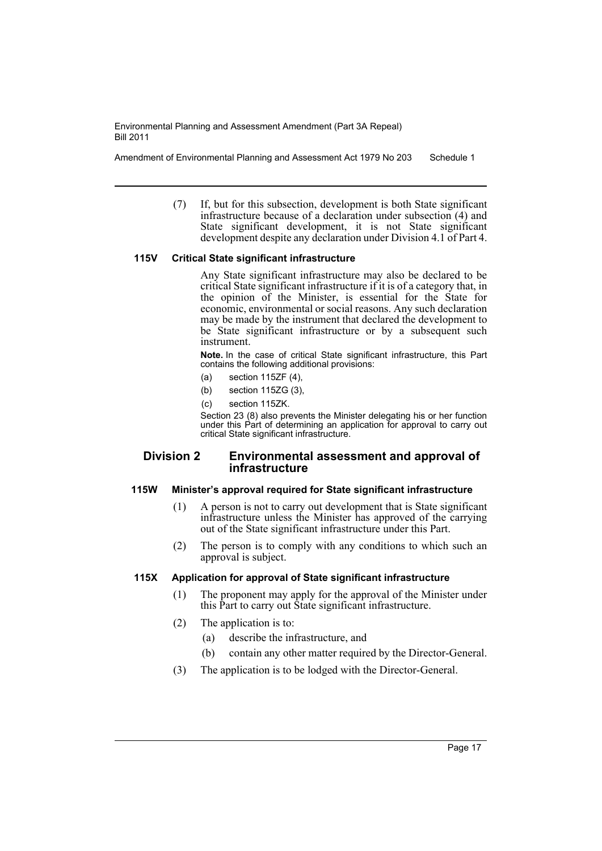Amendment of Environmental Planning and Assessment Act 1979 No 203 Schedule 1

(7) If, but for this subsection, development is both State significant infrastructure because of a declaration under subsection (4) and State significant development, it is not State significant development despite any declaration under Division 4.1 of Part 4.

## **115V Critical State significant infrastructure**

Any State significant infrastructure may also be declared to be critical State significant infrastructure if it is of a category that, in the opinion of the Minister, is essential for the State for economic, environmental or social reasons. Any such declaration may be made by the instrument that declared the development to be State significant infrastructure or by a subsequent such instrument.

**Note.** In the case of critical State significant infrastructure, this Part contains the following additional provisions:

- (a) section 115ZF (4),
- (b) section 115ZG (3),
- (c) section 115ZK.

Section 23 (8) also prevents the Minister delegating his or her function under this Part of determining an application for approval to carry out critical State significant infrastructure.

#### **Division 2 Environmental assessment and approval of infrastructure**

#### **115W Minister's approval required for State significant infrastructure**

- (1) A person is not to carry out development that is State significant infrastructure unless the Minister has approved of the carrying out of the State significant infrastructure under this Part.
- (2) The person is to comply with any conditions to which such an approval is subject.

#### **115X Application for approval of State significant infrastructure**

- (1) The proponent may apply for the approval of the Minister under this Part to carry out State significant infrastructure.
- (2) The application is to:
	- (a) describe the infrastructure, and
	- (b) contain any other matter required by the Director-General.
- (3) The application is to be lodged with the Director-General.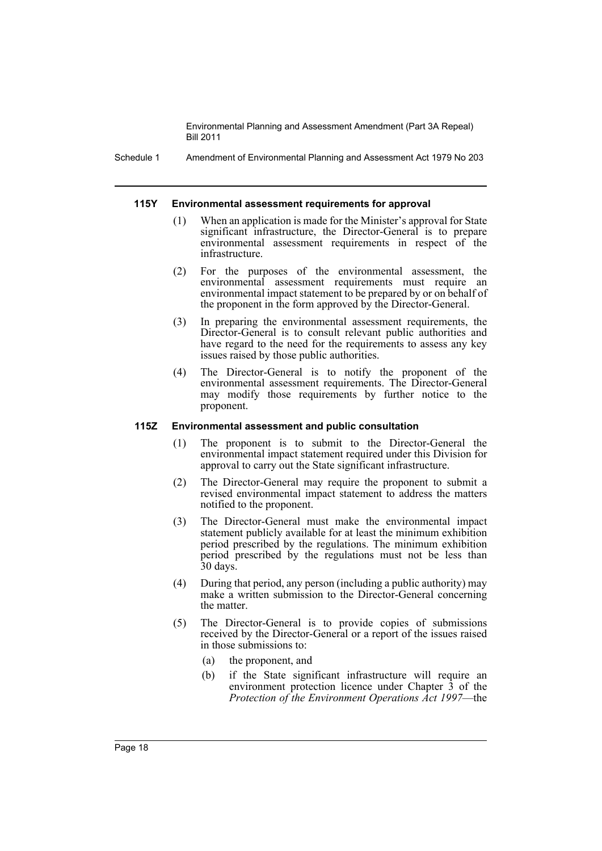Schedule 1 Amendment of Environmental Planning and Assessment Act 1979 No 203

#### **115Y Environmental assessment requirements for approval**

- When an application is made for the Minister's approval for State significant infrastructure, the Director-General is to prepare environmental assessment requirements in respect of the infrastructure.
- (2) For the purposes of the environmental assessment, the environmental assessment requirements must require an environmental impact statement to be prepared by or on behalf of the proponent in the form approved by the Director-General.
- (3) In preparing the environmental assessment requirements, the Director-General is to consult relevant public authorities and have regard to the need for the requirements to assess any key issues raised by those public authorities.
- (4) The Director-General is to notify the proponent of the environmental assessment requirements. The Director-General may modify those requirements by further notice to the proponent.

#### **115Z Environmental assessment and public consultation**

- (1) The proponent is to submit to the Director-General the environmental impact statement required under this Division for approval to carry out the State significant infrastructure.
- (2) The Director-General may require the proponent to submit a revised environmental impact statement to address the matters notified to the proponent.
- (3) The Director-General must make the environmental impact statement publicly available for at least the minimum exhibition period prescribed by the regulations. The minimum exhibition period prescribed by the regulations must not be less than 30 days.
- (4) During that period, any person (including a public authority) may make a written submission to the Director-General concerning the matter.
- (5) The Director-General is to provide copies of submissions received by the Director-General or a report of the issues raised in those submissions to:
	- (a) the proponent, and
	- (b) if the State significant infrastructure will require an environment protection licence under Chapter 3 of the *Protection of the Environment Operations Act 1997*—the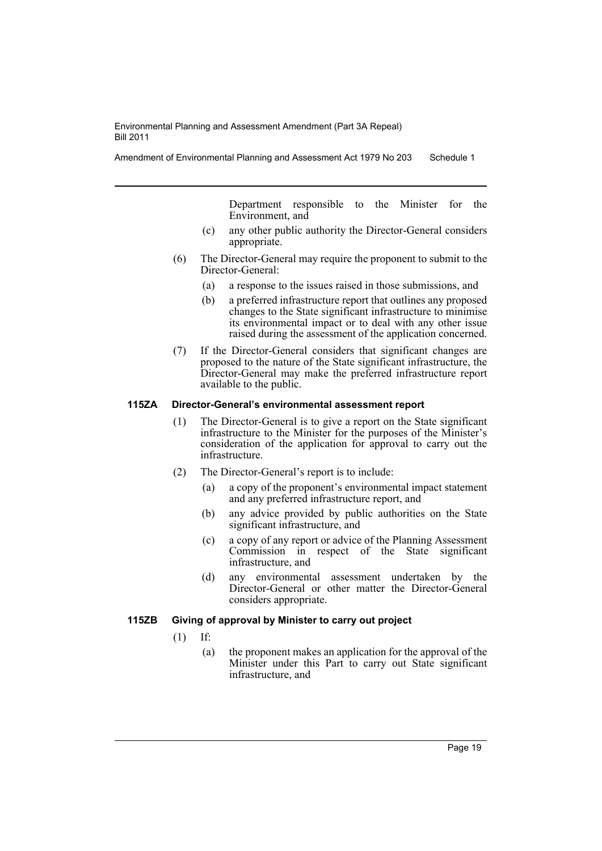Amendment of Environmental Planning and Assessment Act 1979 No 203 Schedule 1

Department responsible to the Minister for the Environment, and

- (c) any other public authority the Director-General considers appropriate.
- (6) The Director-General may require the proponent to submit to the Director-General:
	- (a) a response to the issues raised in those submissions, and
	- (b) a preferred infrastructure report that outlines any proposed changes to the State significant infrastructure to minimise its environmental impact or to deal with any other issue raised during the assessment of the application concerned.
- (7) If the Director-General considers that significant changes are proposed to the nature of the State significant infrastructure, the Director-General may make the preferred infrastructure report available to the public.

#### **115ZA Director-General's environmental assessment report**

- (1) The Director-General is to give a report on the State significant infrastructure to the Minister for the purposes of the Minister's consideration of the application for approval to carry out the infrastructure.
- (2) The Director-General's report is to include:
	- (a) a copy of the proponent's environmental impact statement and any preferred infrastructure report, and
	- (b) any advice provided by public authorities on the State significant infrastructure, and
	- (c) a copy of any report or advice of the Planning Assessment Commission in respect of the State significant infrastructure, and
	- (d) any environmental assessment undertaken by the Director-General or other matter the Director-General considers appropriate.

## **115ZB Giving of approval by Minister to carry out project**

- (1) If:
	- (a) the proponent makes an application for the approval of the Minister under this Part to carry out State significant infrastructure, and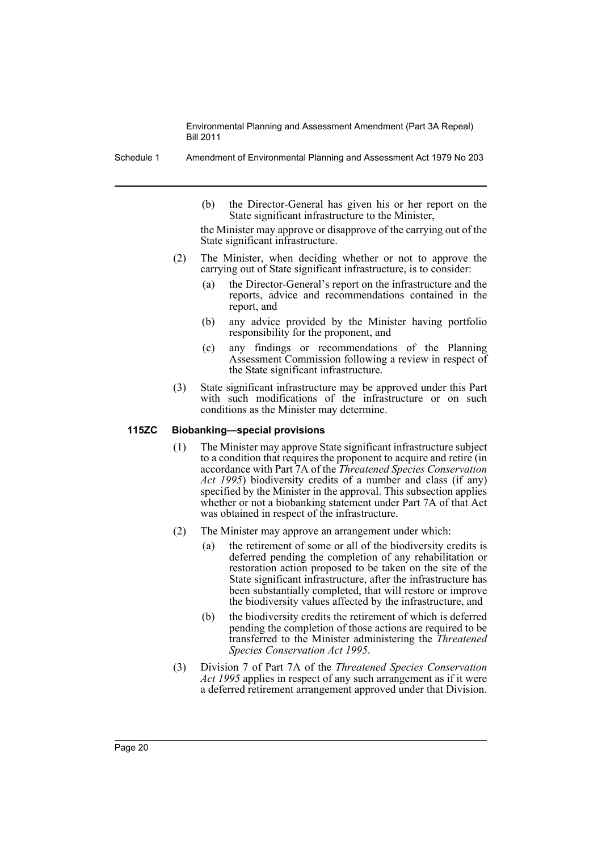Schedule 1 Amendment of Environmental Planning and Assessment Act 1979 No 203

(b) the Director-General has given his or her report on the State significant infrastructure to the Minister,

the Minister may approve or disapprove of the carrying out of the State significant infrastructure.

- (2) The Minister, when deciding whether or not to approve the carrying out of State significant infrastructure, is to consider:
	- (a) the Director-General's report on the infrastructure and the reports, advice and recommendations contained in the report, and
	- (b) any advice provided by the Minister having portfolio responsibility for the proponent, and
	- (c) any findings or recommendations of the Planning Assessment Commission following a review in respect of the State significant infrastructure.
- (3) State significant infrastructure may be approved under this Part with such modifications of the infrastructure or on such conditions as the Minister may determine.

#### **115ZC Biobanking—special provisions**

- (1) The Minister may approve State significant infrastructure subject to a condition that requires the proponent to acquire and retire (in accordance with Part 7A of the *Threatened Species Conservation Act 1995*) biodiversity credits of a number and class (if any) specified by the Minister in the approval. This subsection applies whether or not a biobanking statement under Part 7A of that Act was obtained in respect of the infrastructure.
- (2) The Minister may approve an arrangement under which:
	- (a) the retirement of some or all of the biodiversity credits is deferred pending the completion of any rehabilitation or restoration action proposed to be taken on the site of the State significant infrastructure, after the infrastructure has been substantially completed, that will restore or improve the biodiversity values affected by the infrastructure, and
	- (b) the biodiversity credits the retirement of which is deferred pending the completion of those actions are required to be transferred to the Minister administering the *Threatened Species Conservation Act 1995*.
- (3) Division 7 of Part 7A of the *Threatened Species Conservation Act 1995* applies in respect of any such arrangement as if it were a deferred retirement arrangement approved under that Division.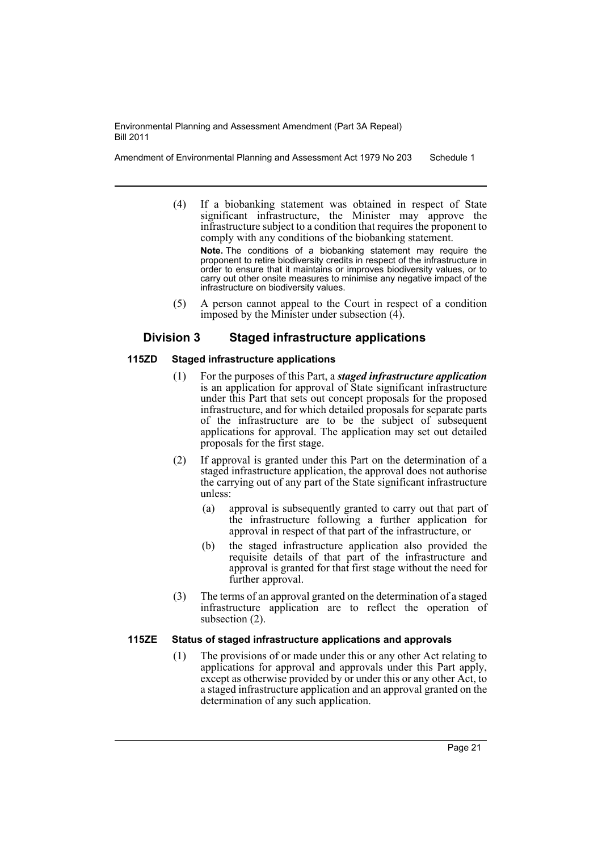Amendment of Environmental Planning and Assessment Act 1979 No 203 Schedule 1

(4) If a biobanking statement was obtained in respect of State significant infrastructure, the Minister may approve the infrastructure subject to a condition that requires the proponent to comply with any conditions of the biobanking statement.

**Note.** The conditions of a biobanking statement may require the proponent to retire biodiversity credits in respect of the infrastructure in order to ensure that it maintains or improves biodiversity values, or to carry out other onsite measures to minimise any negative impact of the infrastructure on biodiversity values.

(5) A person cannot appeal to the Court in respect of a condition imposed by the Minister under subsection (4).

## **Division 3 Staged infrastructure applications**

## **115ZD Staged infrastructure applications**

- (1) For the purposes of this Part, a *staged infrastructure application* is an application for approval of State significant infrastructure under this Part that sets out concept proposals for the proposed infrastructure, and for which detailed proposals for separate parts of the infrastructure are to be the subject of subsequent applications for approval. The application may set out detailed proposals for the first stage.
- (2) If approval is granted under this Part on the determination of a staged infrastructure application, the approval does not authorise the carrying out of any part of the State significant infrastructure unless:
	- (a) approval is subsequently granted to carry out that part of the infrastructure following a further application for approval in respect of that part of the infrastructure, or
	- (b) the staged infrastructure application also provided the requisite details of that part of the infrastructure and approval is granted for that first stage without the need for further approval.
- (3) The terms of an approval granted on the determination of a staged infrastructure application are to reflect the operation of subsection (2).

## **115ZE Status of staged infrastructure applications and approvals**

(1) The provisions of or made under this or any other Act relating to applications for approval and approvals under this Part apply, except as otherwise provided by or under this or any other Act, to a staged infrastructure application and an approval granted on the determination of any such application.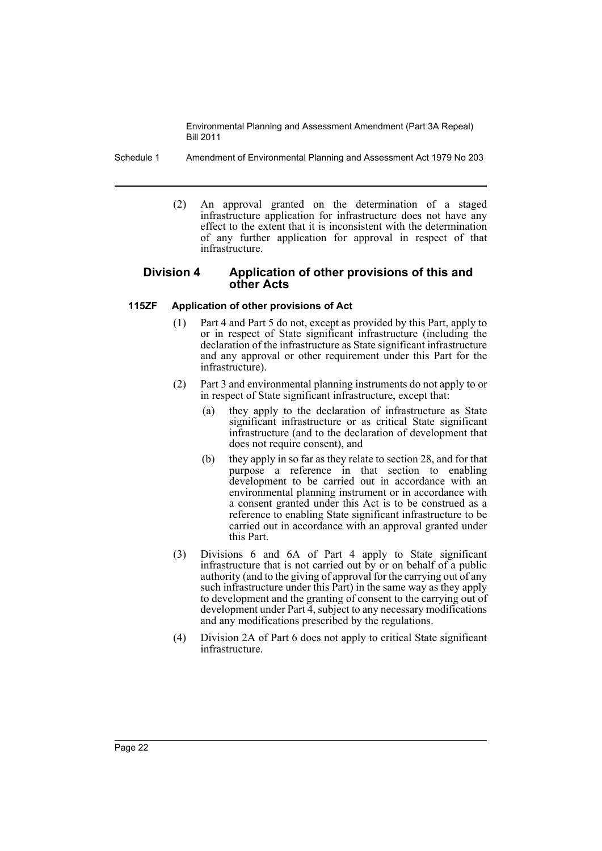Schedule 1 Amendment of Environmental Planning and Assessment Act 1979 No 203

(2) An approval granted on the determination of a staged infrastructure application for infrastructure does not have any effect to the extent that it is inconsistent with the determination of any further application for approval in respect of that infrastructure.

## **Division 4 Application of other provisions of this and other Acts**

#### **115ZF Application of other provisions of Act**

- (1) Part 4 and Part 5 do not, except as provided by this Part, apply to or in respect of State significant infrastructure (including the declaration of the infrastructure as State significant infrastructure and any approval or other requirement under this Part for the infrastructure).
- (2) Part 3 and environmental planning instruments do not apply to or in respect of State significant infrastructure, except that:
	- (a) they apply to the declaration of infrastructure as State significant infrastructure or as critical State significant infrastructure (and to the declaration of development that does not require consent), and
	- (b) they apply in so far as they relate to section 28, and for that purpose a reference in that section to enabling development to be carried out in accordance with an environmental planning instrument or in accordance with a consent granted under this Act is to be construed as a reference to enabling State significant infrastructure to be carried out in accordance with an approval granted under this Part.
- (3) Divisions 6 and 6A of Part 4 apply to State significant infrastructure that is not carried out by or on behalf of a public authority (and to the giving of approval for the carrying out of any such infrastructure under this Part) in the same way as they apply to development and the granting of consent to the carrying out of development under Part 4, subject to any necessary modifications and any modifications prescribed by the regulations.
- (4) Division 2A of Part 6 does not apply to critical State significant infrastructure.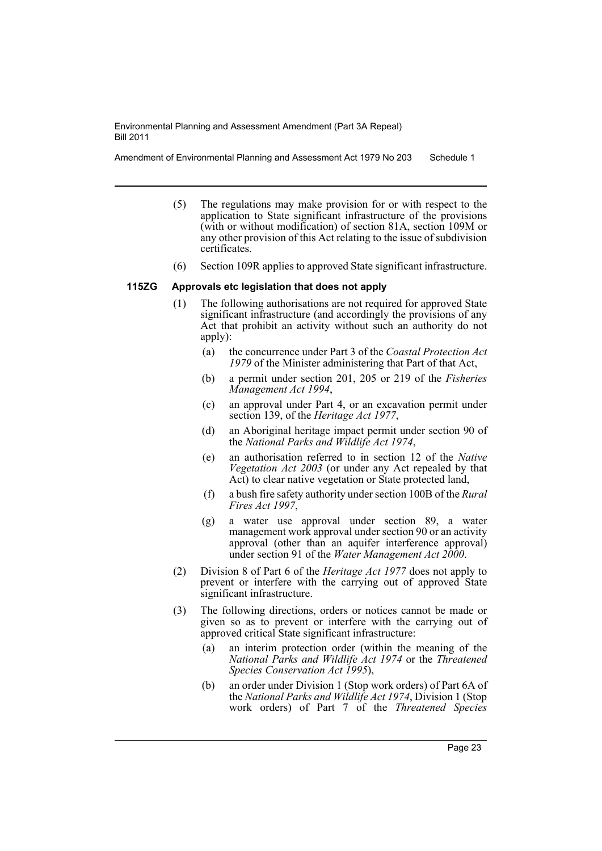Amendment of Environmental Planning and Assessment Act 1979 No 203 Schedule 1

- (5) The regulations may make provision for or with respect to the application to State significant infrastructure of the provisions (with or without modification) of section 81A, section 109M or any other provision of this Act relating to the issue of subdivision certificates.
- (6) Section 109R applies to approved State significant infrastructure.

#### **115ZG Approvals etc legislation that does not apply**

- (1) The following authorisations are not required for approved State significant infrastructure (and accordingly the provisions of any Act that prohibit an activity without such an authority do not apply):
	- (a) the concurrence under Part 3 of the *Coastal Protection Act 1979* of the Minister administering that Part of that Act,
	- (b) a permit under section 201, 205 or 219 of the *Fisheries Management Act 1994*,
	- (c) an approval under Part 4, or an excavation permit under section 139, of the *Heritage Act 1977*,
	- (d) an Aboriginal heritage impact permit under section 90 of the *National Parks and Wildlife Act 1974*,
	- (e) an authorisation referred to in section 12 of the *Native Vegetation Act 2003* (or under any Act repealed by that Act) to clear native vegetation or State protected land,
	- (f) a bush fire safety authority under section 100B of the *Rural Fires Act 1997*,
	- (g) a water use approval under section 89, a water management work approval under section 90 or an activity approval (other than an aquifer interference approval) under section 91 of the *Water Management Act 2000*.
- (2) Division 8 of Part 6 of the *Heritage Act 1977* does not apply to prevent or interfere with the carrying out of approved State significant infrastructure.
- (3) The following directions, orders or notices cannot be made or given so as to prevent or interfere with the carrying out of approved critical State significant infrastructure:
	- (a) an interim protection order (within the meaning of the *National Parks and Wildlife Act 1974* or the *Threatened Species Conservation Act 1995*),
	- (b) an order under Division 1 (Stop work orders) of Part 6A of the *National Parks and Wildlife Act 1974*, Division 1 (Stop work orders) of Part 7 of the *Threatened Species*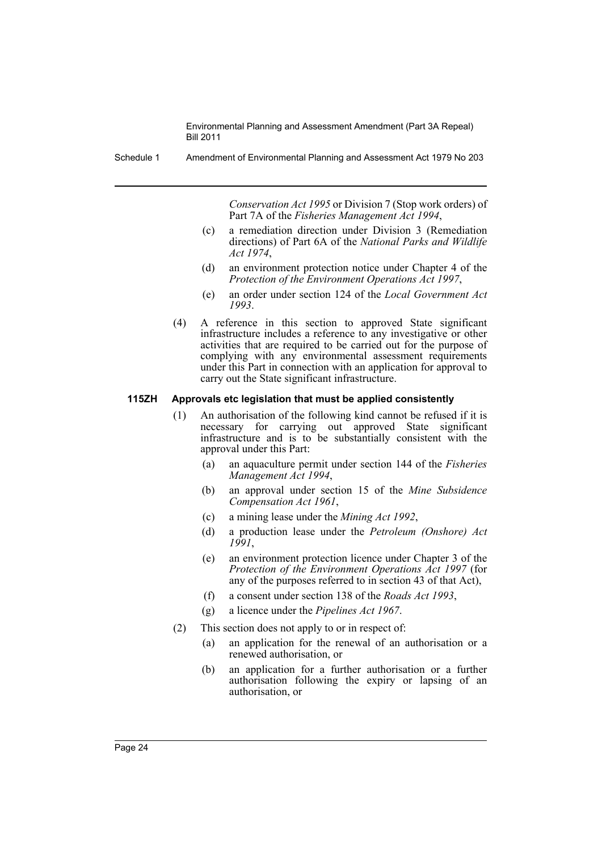Schedule 1 Amendment of Environmental Planning and Assessment Act 1979 No 203

*Conservation Act 1995* or Division 7 (Stop work orders) of Part 7A of the *Fisheries Management Act 1994*,

- (c) a remediation direction under Division 3 (Remediation directions) of Part 6A of the *National Parks and Wildlife Act 1974*,
- (d) an environment protection notice under Chapter 4 of the *Protection of the Environment Operations Act 1997*,
- (e) an order under section 124 of the *Local Government Act 1993*.
- (4) A reference in this section to approved State significant infrastructure includes a reference to any investigative or other activities that are required to be carried out for the purpose of complying with any environmental assessment requirements under this Part in connection with an application for approval to carry out the State significant infrastructure.

#### **115ZH Approvals etc legislation that must be applied consistently**

- (1) An authorisation of the following kind cannot be refused if it is necessary for carrying out approved State significant infrastructure and is to be substantially consistent with the approval under this Part:
	- (a) an aquaculture permit under section 144 of the *Fisheries Management Act 1994*,
	- (b) an approval under section 15 of the *Mine Subsidence Compensation Act 1961*,
	- (c) a mining lease under the *Mining Act 1992*,
	- (d) a production lease under the *Petroleum (Onshore) Act 1991*,
	- (e) an environment protection licence under Chapter 3 of the *Protection of the Environment Operations Act 1997* (for any of the purposes referred to in section 43 of that Act),
	- (f) a consent under section 138 of the *Roads Act 1993*,
	- (g) a licence under the *Pipelines Act 1967*.
- (2) This section does not apply to or in respect of:
	- (a) an application for the renewal of an authorisation or a renewed authorisation, or
	- (b) an application for a further authorisation or a further authorisation following the expiry or lapsing of an authorisation, or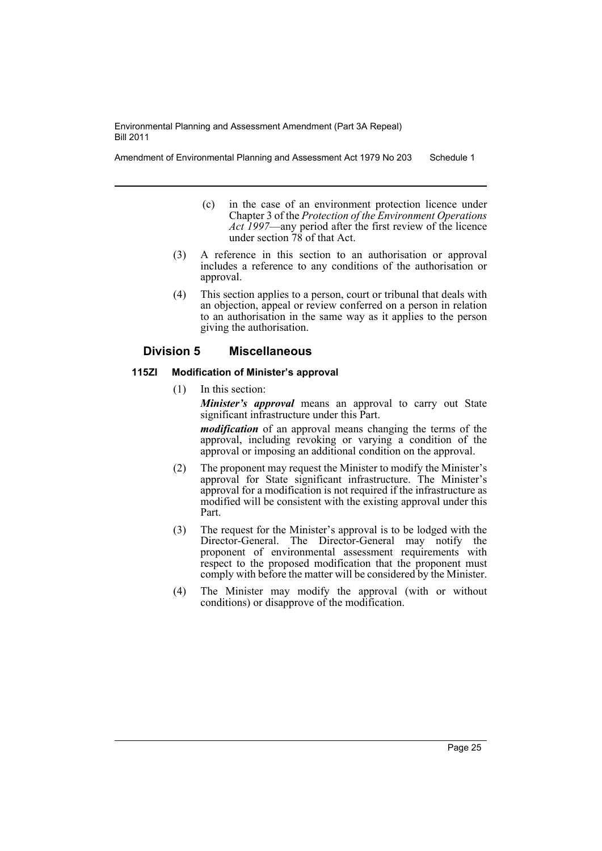Amendment of Environmental Planning and Assessment Act 1979 No 203 Schedule 1

- (c) in the case of an environment protection licence under Chapter 3 of the *Protection of the Environment Operations Act 1997*—any period after the first review of the licence under section 78 of that Act.
- (3) A reference in this section to an authorisation or approval includes a reference to any conditions of the authorisation or approval.
- (4) This section applies to a person, court or tribunal that deals with an objection, appeal or review conferred on a person in relation to an authorisation in the same way as it applies to the person giving the authorisation.

## **Division 5 Miscellaneous**

## **115ZI Modification of Minister's approval**

(1) In this section:

*Minister's approval* means an approval to carry out State significant infrastructure under this Part.

*modification* of an approval means changing the terms of the approval, including revoking or varying a condition of the approval or imposing an additional condition on the approval.

- (2) The proponent may request the Minister to modify the Minister's approval for State significant infrastructure. The Minister's approval for a modification is not required if the infrastructure as modified will be consistent with the existing approval under this Part.
- (3) The request for the Minister's approval is to be lodged with the Director-General. The Director-General may notify the proponent of environmental assessment requirements with respect to the proposed modification that the proponent must comply with before the matter will be considered by the Minister.
- (4) The Minister may modify the approval (with or without conditions) or disapprove of the modification.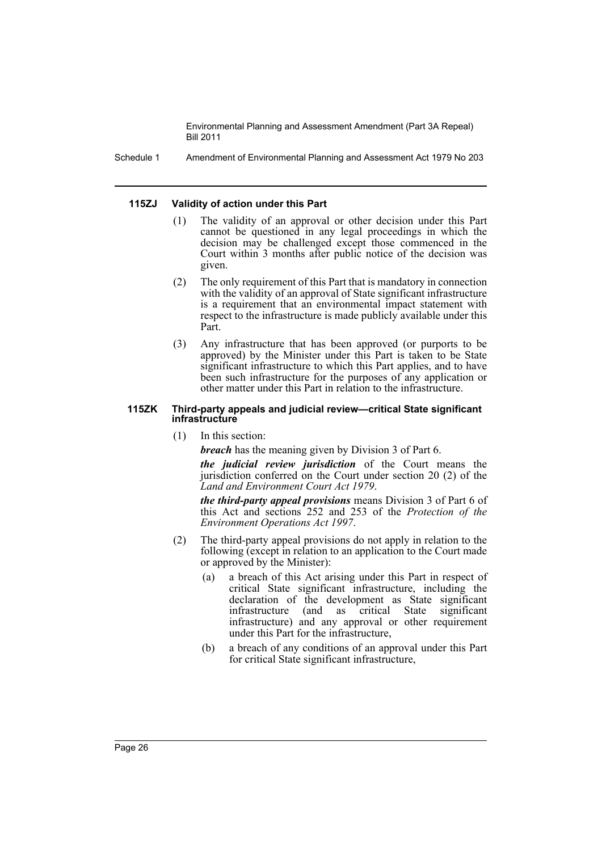Schedule 1 Amendment of Environmental Planning and Assessment Act 1979 No 203

#### **115ZJ Validity of action under this Part**

- (1) The validity of an approval or other decision under this Part cannot be questioned in any legal proceedings in which the decision may be challenged except those commenced in the Court within 3 months after public notice of the decision was given.
- (2) The only requirement of this Part that is mandatory in connection with the validity of an approval of State significant infrastructure is a requirement that an environmental impact statement with respect to the infrastructure is made publicly available under this Part.
- (3) Any infrastructure that has been approved (or purports to be approved) by the Minister under this Part is taken to be State significant infrastructure to which this Part applies, and to have been such infrastructure for the purposes of any application or other matter under this Part in relation to the infrastructure.

#### **115ZK Third-party appeals and judicial review—critical State significant infrastructure**

(1) In this section:

*breach* has the meaning given by Division 3 of Part 6.

*the judicial review jurisdiction* of the Court means the jurisdiction conferred on the Court under section 20 (2) of the *Land and Environment Court Act 1979*.

*the third-party appeal provisions* means Division 3 of Part 6 of this Act and sections 252 and 253 of the *Protection of the Environment Operations Act 1997*.

- (2) The third-party appeal provisions do not apply in relation to the following (except in relation to an application to the Court made or approved by the Minister):
	- (a) a breach of this Act arising under this Part in respect of critical State significant infrastructure, including the declaration of the development as State significant infrastructure (and as critical State significant infrastructure) and any approval or other requirement under this Part for the infrastructure,
	- (b) a breach of any conditions of an approval under this Part for critical State significant infrastructure,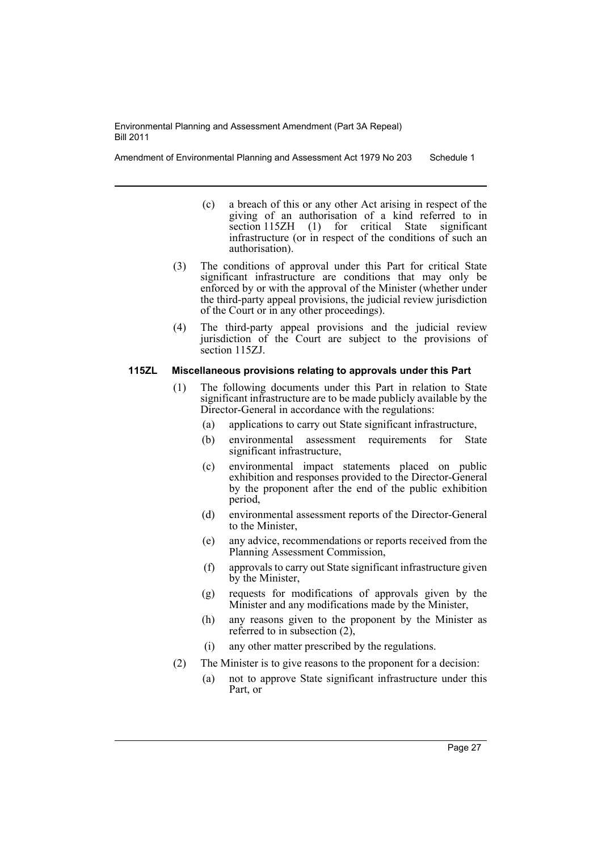Amendment of Environmental Planning and Assessment Act 1979 No 203 Schedule 1

- (c) a breach of this or any other Act arising in respect of the giving of an authorisation of a kind referred to in section 115ZH (1) for critical State significant infrastructure (or in respect of the conditions of such an authorisation).
- (3) The conditions of approval under this Part for critical State significant infrastructure are conditions that may only be enforced by or with the approval of the Minister (whether under the third-party appeal provisions, the judicial review jurisdiction of the Court or in any other proceedings).
- (4) The third-party appeal provisions and the judicial review jurisdiction of the Court are subject to the provisions of section 115ZJ.

#### **115ZL Miscellaneous provisions relating to approvals under this Part**

- (1) The following documents under this Part in relation to State significant infrastructure are to be made publicly available by the Director-General in accordance with the regulations:
	- (a) applications to carry out State significant infrastructure,
	- (b) environmental assessment requirements for State significant infrastructure,
	- (c) environmental impact statements placed on public exhibition and responses provided to the Director-General by the proponent after the end of the public exhibition period,
	- (d) environmental assessment reports of the Director-General to the Minister,
	- (e) any advice, recommendations or reports received from the Planning Assessment Commission,
	- (f) approvals to carry out State significant infrastructure given by the Minister,
	- (g) requests for modifications of approvals given by the Minister and any modifications made by the Minister,
	- (h) any reasons given to the proponent by the Minister as referred to in subsection (2),
	- (i) any other matter prescribed by the regulations.
- (2) The Minister is to give reasons to the proponent for a decision:
	- (a) not to approve State significant infrastructure under this Part, or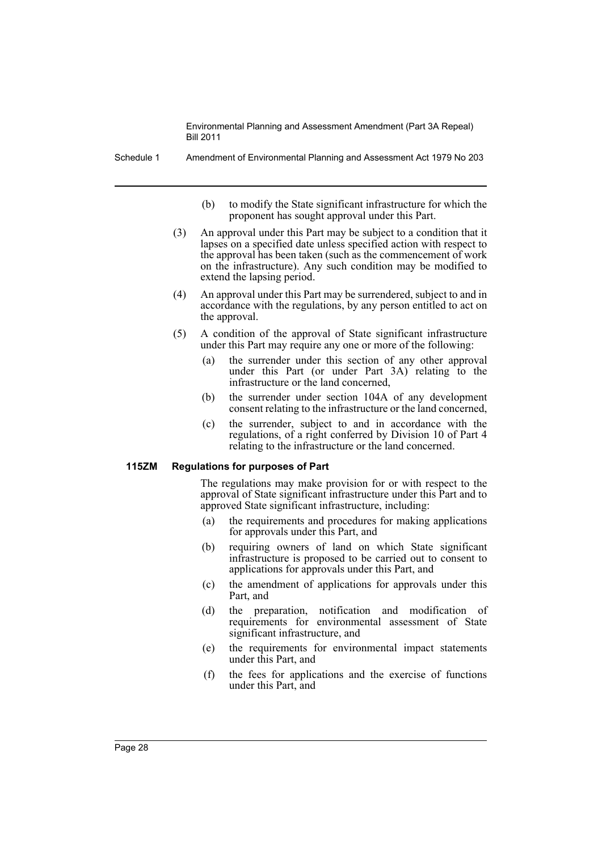Schedule 1 Amendment of Environmental Planning and Assessment Act 1979 No 203

- (b) to modify the State significant infrastructure for which the proponent has sought approval under this Part.
- (3) An approval under this Part may be subject to a condition that it lapses on a specified date unless specified action with respect to the approval has been taken (such as the commencement of work on the infrastructure). Any such condition may be modified to extend the lapsing period.
- (4) An approval under this Part may be surrendered, subject to and in accordance with the regulations, by any person entitled to act on the approval.
- (5) A condition of the approval of State significant infrastructure under this Part may require any one or more of the following:
	- (a) the surrender under this section of any other approval under this Part (or under Part 3A) relating to the infrastructure or the land concerned,
	- (b) the surrender under section 104A of any development consent relating to the infrastructure or the land concerned,
	- (c) the surrender, subject to and in accordance with the regulations, of a right conferred by Division 10 of Part 4 relating to the infrastructure or the land concerned.

#### **115ZM Regulations for purposes of Part**

The regulations may make provision for or with respect to the approval of State significant infrastructure under this Part and to approved State significant infrastructure, including:

- (a) the requirements and procedures for making applications for approvals under this Part, and
- (b) requiring owners of land on which State significant infrastructure is proposed to be carried out to consent to applications for approvals under this Part, and
- (c) the amendment of applications for approvals under this Part, and
- (d) the preparation, notification and modification of requirements for environmental assessment of State significant infrastructure, and
- (e) the requirements for environmental impact statements under this Part, and
- (f) the fees for applications and the exercise of functions under this Part, and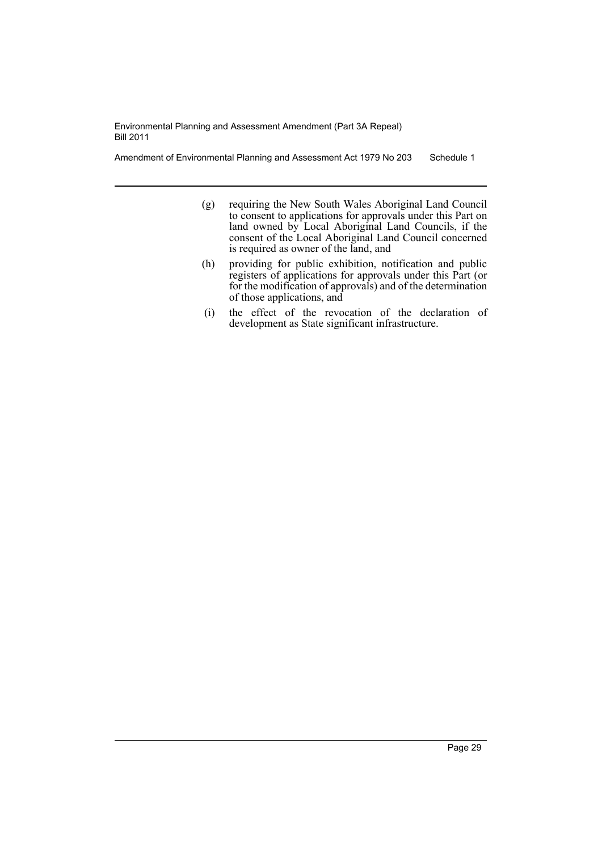Amendment of Environmental Planning and Assessment Act 1979 No 203 Schedule 1

- (g) requiring the New South Wales Aboriginal Land Council to consent to applications for approvals under this Part on land owned by Local Aboriginal Land Councils, if the consent of the Local Aboriginal Land Council concerned is required as owner of the land, and
- (h) providing for public exhibition, notification and public registers of applications for approvals under this Part (or for the modification of approvals) and of the determination of those applications, and
- (i) the effect of the revocation of the declaration of development as State significant infrastructure.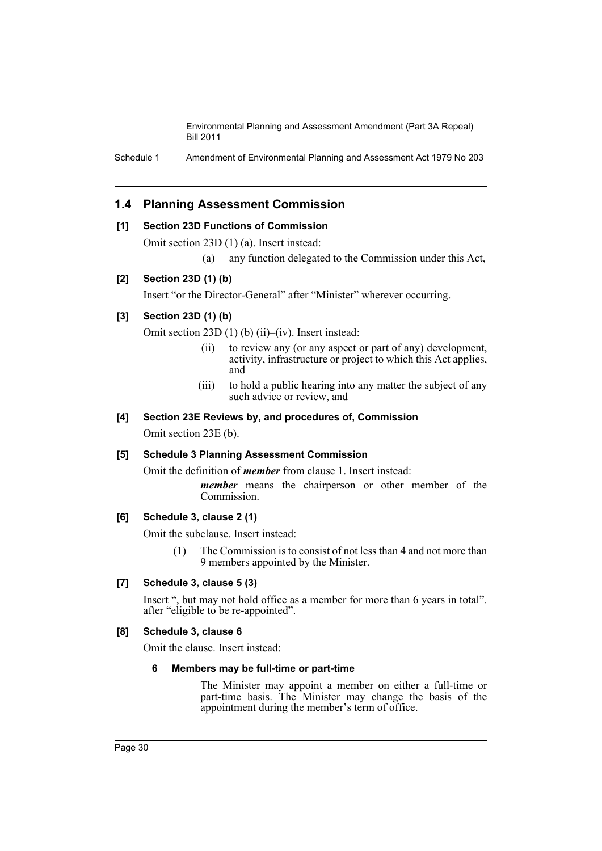Schedule 1 Amendment of Environmental Planning and Assessment Act 1979 No 203

## **1.4 Planning Assessment Commission**

## **[1] Section 23D Functions of Commission**

Omit section 23D (1) (a). Insert instead:

(a) any function delegated to the Commission under this Act,

## **[2] Section 23D (1) (b)**

Insert "or the Director-General" after "Minister" wherever occurring.

## **[3] Section 23D (1) (b)**

Omit section 23D (1) (b) (ii)–(iv). Insert instead:

- (ii) to review any (or any aspect or part of any) development, activity, infrastructure or project to which this Act applies, and
- (iii) to hold a public hearing into any matter the subject of any such advice or review, and

#### **[4] Section 23E Reviews by, and procedures of, Commission**

Omit section 23E (b).

#### **[5] Schedule 3 Planning Assessment Commission**

Omit the definition of *member* from clause 1. Insert instead: *member* means the chairperson or other member of the Commission.

## **[6] Schedule 3, clause 2 (1)**

Omit the subclause. Insert instead:

(1) The Commission is to consist of not less than 4 and not more than 9 members appointed by the Minister.

## **[7] Schedule 3, clause 5 (3)**

Insert ", but may not hold office as a member for more than 6 years in total". after "eligible to be re-appointed".

## **[8] Schedule 3, clause 6**

Omit the clause. Insert instead:

#### **6 Members may be full-time or part-time**

The Minister may appoint a member on either a full-time or part-time basis. The Minister may change the basis of the appointment during the member's term of office.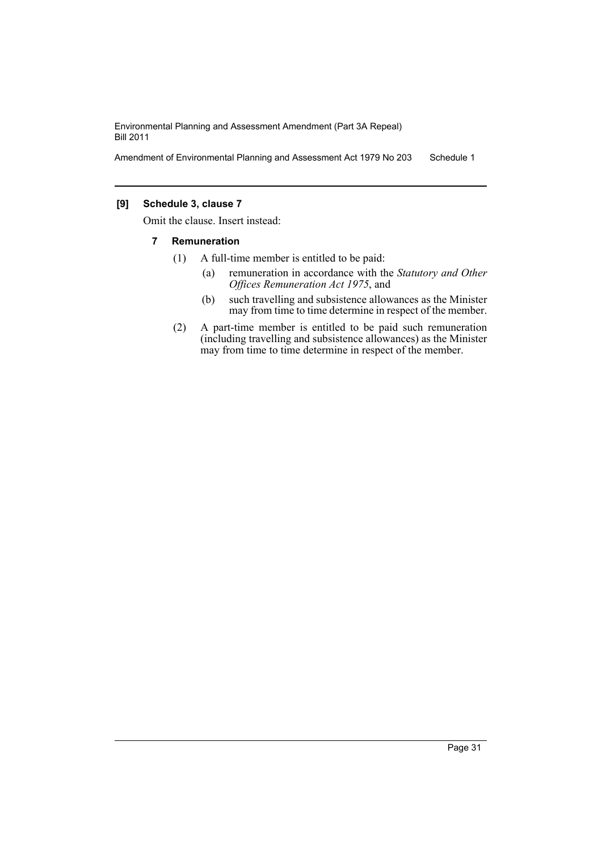Amendment of Environmental Planning and Assessment Act 1979 No 203 Schedule 1

## **[9] Schedule 3, clause 7**

Omit the clause. Insert instead:

- **7 Remuneration**
	- (1) A full-time member is entitled to be paid:
		- (a) remuneration in accordance with the *Statutory and Other Offices Remuneration Act 1975*, and
		- (b) such travelling and subsistence allowances as the Minister may from time to time determine in respect of the member.
	- (2) A part-time member is entitled to be paid such remuneration (including travelling and subsistence allowances) as the Minister may from time to time determine in respect of the member.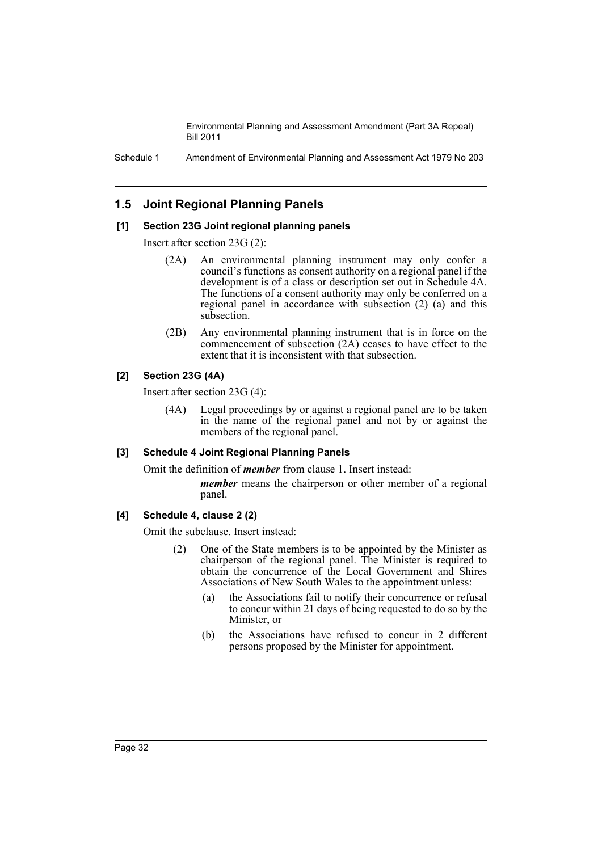Schedule 1 Amendment of Environmental Planning and Assessment Act 1979 No 203

## **1.5 Joint Regional Planning Panels**

#### **[1] Section 23G Joint regional planning panels**

Insert after section 23G (2):

- (2A) An environmental planning instrument may only confer a council's functions as consent authority on a regional panel if the development is of a class or description set out in Schedule 4A. The functions of a consent authority may only be conferred on a regional panel in accordance with subsection (2) (a) and this subsection.
- (2B) Any environmental planning instrument that is in force on the commencement of subsection (2A) ceases to have effect to the extent that it is inconsistent with that subsection.

## **[2] Section 23G (4A)**

Insert after section 23G (4):

(4A) Legal proceedings by or against a regional panel are to be taken in the name of the regional panel and not by or against the members of the regional panel.

## **[3] Schedule 4 Joint Regional Planning Panels**

Omit the definition of *member* from clause 1. Insert instead:

*member* means the chairperson or other member of a regional panel.

## **[4] Schedule 4, clause 2 (2)**

Omit the subclause. Insert instead:

- (2) One of the State members is to be appointed by the Minister as chairperson of the regional panel. The Minister is required to obtain the concurrence of the Local Government and Shires Associations of New South Wales to the appointment unless:
	- (a) the Associations fail to notify their concurrence or refusal to concur within 21 days of being requested to do so by the Minister, or
	- (b) the Associations have refused to concur in 2 different persons proposed by the Minister for appointment.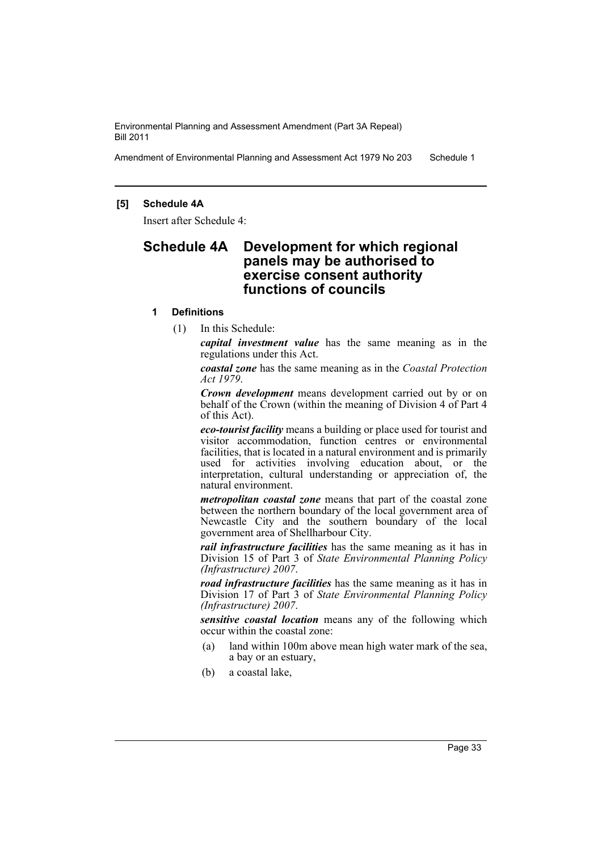Amendment of Environmental Planning and Assessment Act 1979 No 203 Schedule 1

#### **[5] Schedule 4A**

Insert after Schedule 4:

## **Schedule 4A Development for which regional panels may be authorised to exercise consent authority functions of councils**

#### **1 Definitions**

(1) In this Schedule:

*capital investment value* has the same meaning as in the regulations under this Act.

*coastal zone* has the same meaning as in the *Coastal Protection Act 1979*.

*Crown development* means development carried out by or on behalf of the Crown (within the meaning of Division 4 of Part 4 of this Act).

*eco-tourist facility* means a building or place used for tourist and visitor accommodation, function centres or environmental facilities, that is located in a natural environment and is primarily used for activities involving education about, or the interpretation, cultural understanding or appreciation of, the natural environment.

*metropolitan coastal zone* means that part of the coastal zone between the northern boundary of the local government area of Newcastle City and the southern boundary of the local government area of Shellharbour City.

*rail infrastructure facilities* has the same meaning as it has in Division 15 of Part 3 of *State Environmental Planning Policy (Infrastructure) 2007*.

*road infrastructure facilities* has the same meaning as it has in Division 17 of Part 3 of *State Environmental Planning Policy (Infrastructure) 2007*.

*sensitive coastal location* means any of the following which occur within the coastal zone:

- (a) land within 100m above mean high water mark of the sea, a bay or an estuary,
- (b) a coastal lake,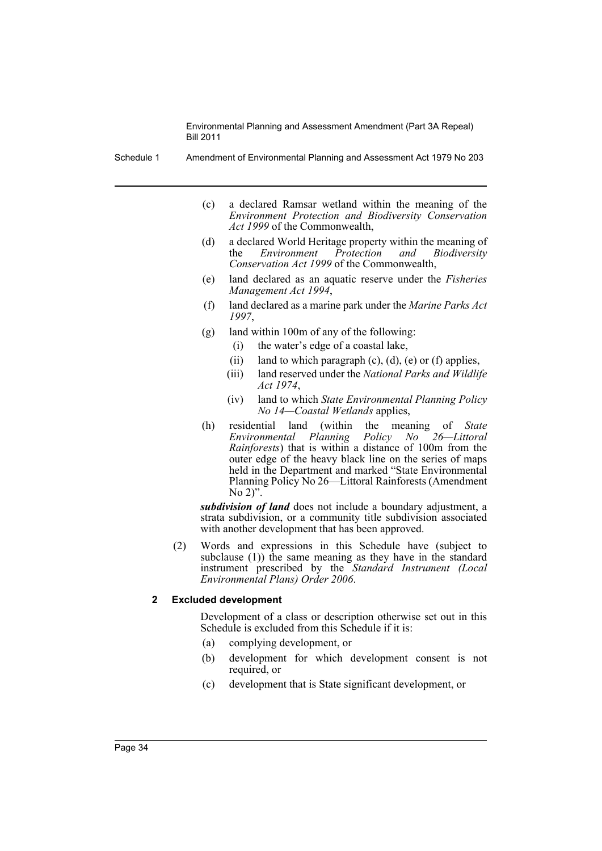Schedule 1 Amendment of Environmental Planning and Assessment Act 1979 No 203

- (c) a declared Ramsar wetland within the meaning of the *Environment Protection and Biodiversity Conservation Act 1999* of the Commonwealth,
- (d) a declared World Heritage property within the meaning of the *Environment Protection and Biodiversity Conservation Act 1999* of the Commonwealth,
- (e) land declared as an aquatic reserve under the *Fisheries Management Act 1994*,
- (f) land declared as a marine park under the *Marine Parks Act 1997*,
- (g) land within 100m of any of the following:
	- (i) the water's edge of a coastal lake,
	- (ii) land to which paragraph  $(c)$ ,  $(d)$ ,  $(e)$  or  $(f)$  applies,
	- (iii) land reserved under the *National Parks and Wildlife Act 1974*,
	- (iv) land to which *State Environmental Planning Policy No 14—Coastal Wetlands* applies,
- (h) residential land (within the meaning of *State Environmental Planning Policy No 26—Littoral Rainforests*) that is within a distance of 100m from the outer edge of the heavy black line on the series of maps held in the Department and marked "State Environmental Planning Policy No 26—Littoral Rainforests (Amendment No 2)".

*subdivision of land* does not include a boundary adjustment, a strata subdivision, or a community title subdivision associated with another development that has been approved.

(2) Words and expressions in this Schedule have (subject to subclause (1)) the same meaning as they have in the standard instrument prescribed by the *Standard Instrument (Local Environmental Plans) Order 2006*.

## **2 Excluded development**

Development of a class or description otherwise set out in this Schedule is excluded from this Schedule if it is:

- (a) complying development, or
- (b) development for which development consent is not required, or
- (c) development that is State significant development, or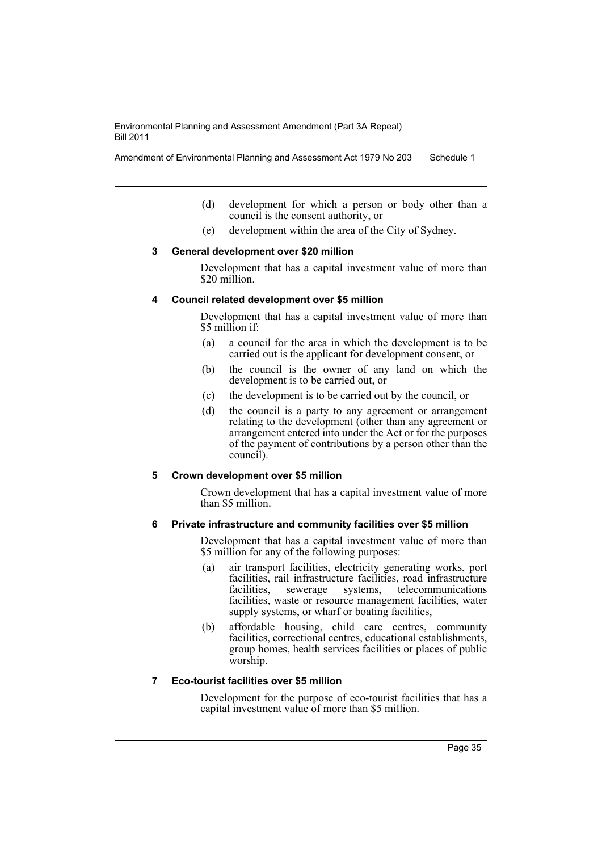Amendment of Environmental Planning and Assessment Act 1979 No 203 Schedule 1

- (d) development for which a person or body other than a council is the consent authority, or
- (e) development within the area of the City of Sydney.

#### **3 General development over \$20 million**

Development that has a capital investment value of more than \$20 million.

#### **4 Council related development over \$5 million**

Development that has a capital investment value of more than \$5 million if:

- (a) a council for the area in which the development is to be carried out is the applicant for development consent, or
- (b) the council is the owner of any land on which the development is to be carried out, or
- (c) the development is to be carried out by the council, or
- (d) the council is a party to any agreement or arrangement relating to the development (other than any agreement or arrangement entered into under the Act or for the purposes of the payment of contributions by a person other than the council).

#### **5 Crown development over \$5 million**

Crown development that has a capital investment value of more than \$5 million.

#### **6 Private infrastructure and community facilities over \$5 million**

Development that has a capital investment value of more than \$5 million for any of the following purposes:

- (a) air transport facilities, electricity generating works, port facilities, rail infrastructure facilities, road infrastructure facilities, sewerage systems, telecommunications facilities, waste or resource management facilities, water supply systems, or wharf or boating facilities,
- (b) affordable housing, child care centres, community facilities, correctional centres, educational establishments, group homes, health services facilities or places of public worship.

## **7 Eco-tourist facilities over \$5 million**

Development for the purpose of eco-tourist facilities that has a capital investment value of more than \$5 million.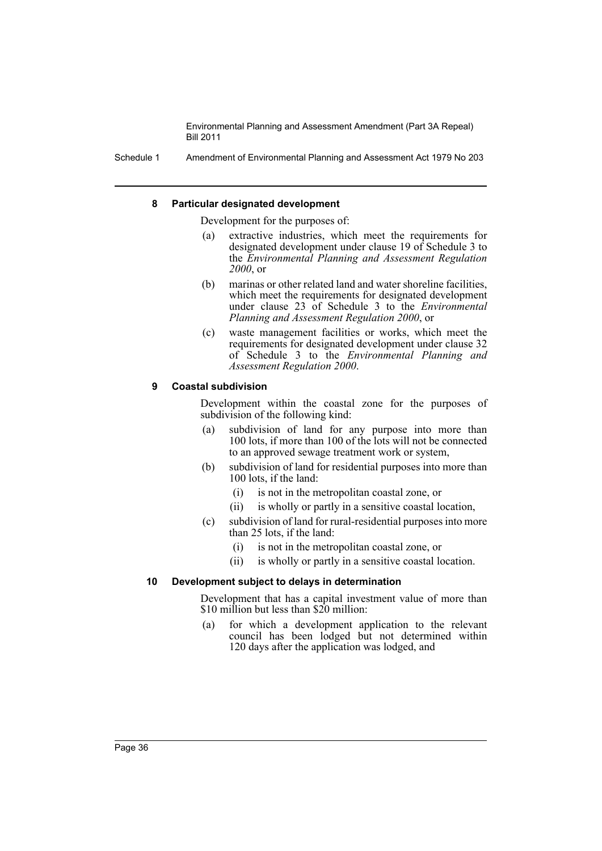Schedule 1 Amendment of Environmental Planning and Assessment Act 1979 No 203

#### **8 Particular designated development**

Development for the purposes of:

- (a) extractive industries, which meet the requirements for designated development under clause 19 of Schedule 3 to the *Environmental Planning and Assessment Regulation 2000*, or
- (b) marinas or other related land and water shoreline facilities, which meet the requirements for designated development under clause 23 of Schedule 3 to the *Environmental Planning and Assessment Regulation 2000*, or
- (c) waste management facilities or works, which meet the requirements for designated development under clause 32 of Schedule 3 to the *Environmental Planning and Assessment Regulation 2000*.

#### **9 Coastal subdivision**

Development within the coastal zone for the purposes of subdivision of the following kind:

- (a) subdivision of land for any purpose into more than 100 lots, if more than 100 of the lots will not be connected to an approved sewage treatment work or system,
- (b) subdivision of land for residential purposes into more than 100 lots, if the land:
	- (i) is not in the metropolitan coastal zone, or
	- (ii) is wholly or partly in a sensitive coastal location,
- (c) subdivision of land for rural-residential purposes into more than 25 lots, if the land:
	- (i) is not in the metropolitan coastal zone, or
	- (ii) is wholly or partly in a sensitive coastal location.

#### **10 Development subject to delays in determination**

Development that has a capital investment value of more than \$10 million but less than \$20 million:

(a) for which a development application to the relevant council has been lodged but not determined within 120 days after the application was lodged, and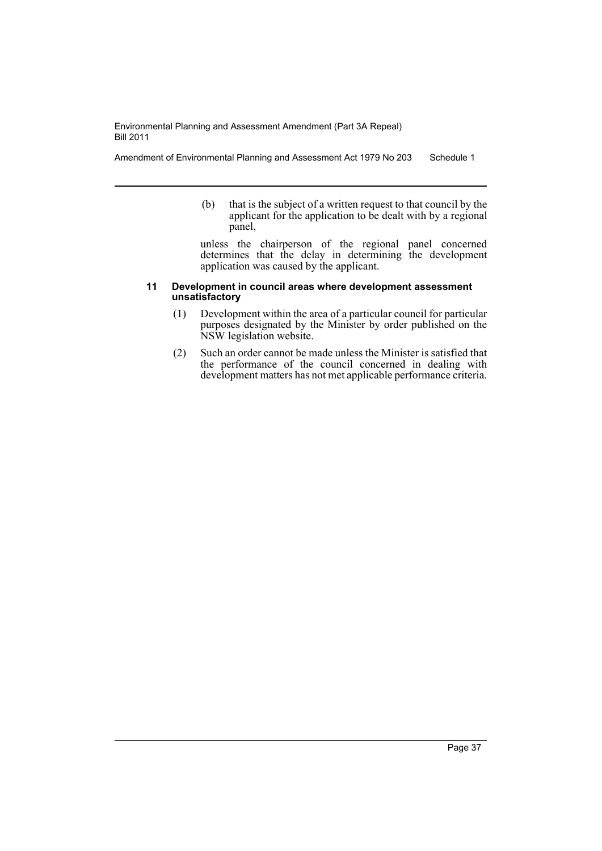Amendment of Environmental Planning and Assessment Act 1979 No 203 Schedule 1

(b) that is the subject of a written request to that council by the applicant for the application to be dealt with by a regional panel,

unless the chairperson of the regional panel concerned determines that the delay in determining the development application was caused by the applicant.

#### **11 Development in council areas where development assessment unsatisfactory**

- (1) Development within the area of a particular council for particular purposes designated by the Minister by order published on the NSW legislation website.
- (2) Such an order cannot be made unless the Minister is satisfied that the performance of the council concerned in dealing with development matters has not met applicable performance criteria.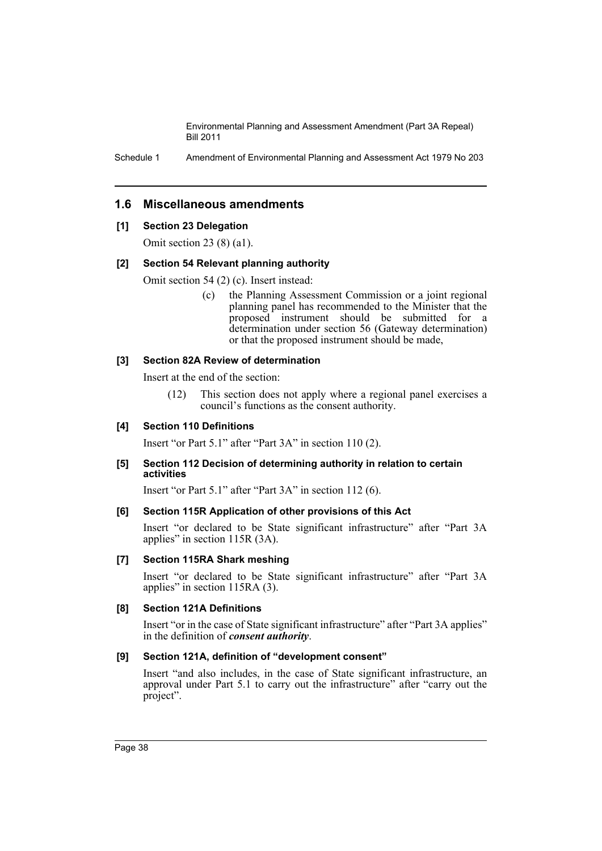Schedule 1 Amendment of Environmental Planning and Assessment Act 1979 No 203

## **1.6 Miscellaneous amendments**

## **[1] Section 23 Delegation**

Omit section 23 (8) (a1).

#### **[2] Section 54 Relevant planning authority**

Omit section 54 (2) (c). Insert instead:

(c) the Planning Assessment Commission or a joint regional planning panel has recommended to the Minister that the proposed instrument should be submitted for a determination under section 56 (Gateway determination) or that the proposed instrument should be made,

#### **[3] Section 82A Review of determination**

Insert at the end of the section:

(12) This section does not apply where a regional panel exercises a council's functions as the consent authority.

## **[4] Section 110 Definitions**

Insert "or Part 5.1" after "Part 3A" in section 110 (2).

#### **[5] Section 112 Decision of determining authority in relation to certain activities**

Insert "or Part 5.1" after "Part 3A" in section 112 (6).

## **[6] Section 115R Application of other provisions of this Act**

Insert "or declared to be State significant infrastructure" after "Part 3A applies" in section 115R (3A).

## **[7] Section 115RA Shark meshing**

Insert "or declared to be State significant infrastructure" after "Part 3A applies" in section 115RA (3).

## **[8] Section 121A Definitions**

Insert "or in the case of State significant infrastructure" after "Part 3A applies" in the definition of *consent authority*.

## **[9] Section 121A, definition of "development consent"**

Insert "and also includes, in the case of State significant infrastructure, an approval under Part 5.1 to carry out the infrastructure" after "carry out the project".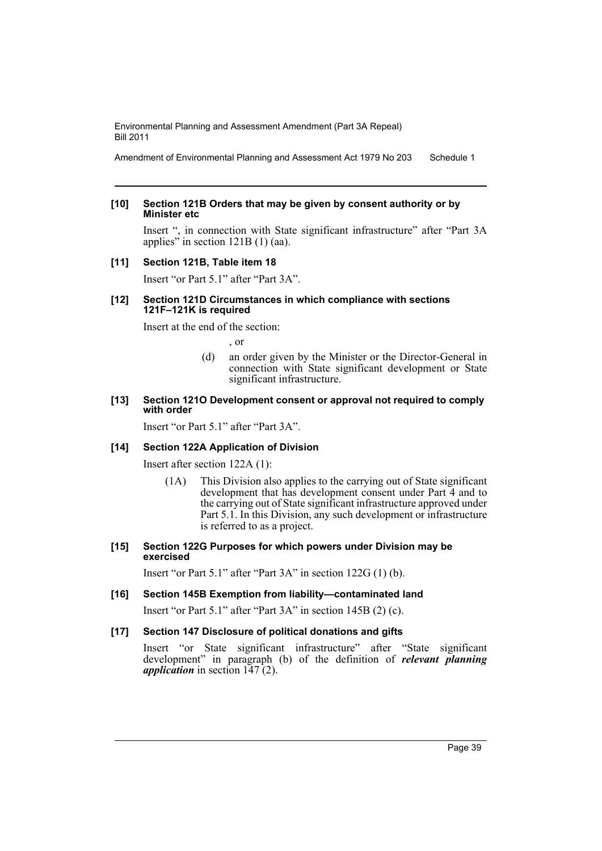Amendment of Environmental Planning and Assessment Act 1979 No 203 Schedule 1

#### **[10] Section 121B Orders that may be given by consent authority or by Minister etc**

Insert ", in connection with State significant infrastructure" after "Part 3A applies" in section 121B (1) (aa).

## **[11] Section 121B, Table item 18**

Insert "or Part 5.1" after "Part 3A".

#### **[12] Section 121D Circumstances in which compliance with sections 121F–121K is required**

Insert at the end of the section:

, or

(d) an order given by the Minister or the Director-General in connection with State significant development or State significant infrastructure.

#### **[13] Section 121O Development consent or approval not required to comply with order**

Insert "or Part 5.1" after "Part 3A".

## **[14] Section 122A Application of Division**

Insert after section 122A (1):

(1A) This Division also applies to the carrying out of State significant development that has development consent under Part 4 and to the carrying out of State significant infrastructure approved under Part 5.1. In this Division, any such development or infrastructure is referred to as a project.

#### **[15] Section 122G Purposes for which powers under Division may be exercised**

Insert "or Part 5.1" after "Part 3A" in section 122G (1) (b).

## **[16] Section 145B Exemption from liability—contaminated land**

Insert "or Part 5.1" after "Part 3A" in section 145B (2) (c).

## **[17] Section 147 Disclosure of political donations and gifts**

Insert "or State significant infrastructure" after "State significant development" in paragraph (b) of the definition of *relevant planning application* in section 147 (2).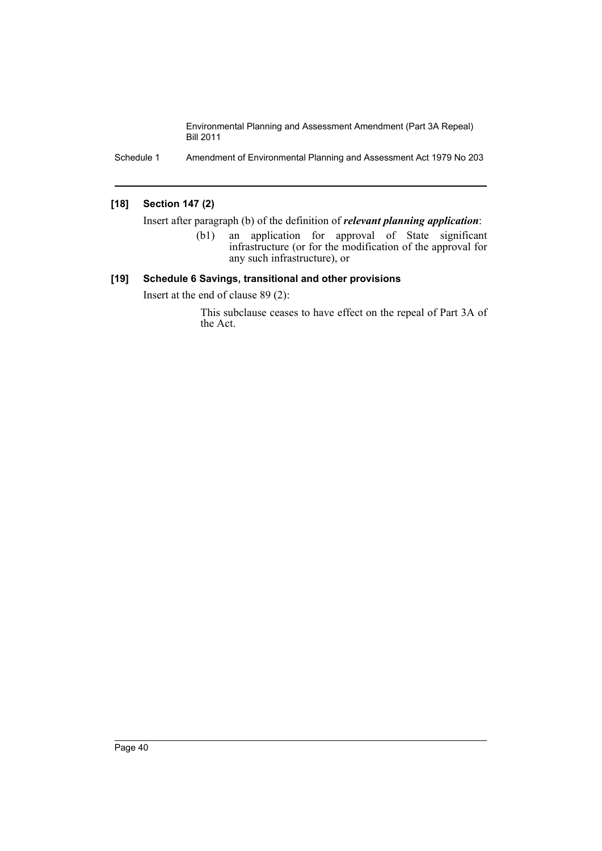Schedule 1 Amendment of Environmental Planning and Assessment Act 1979 No 203

## **[18] Section 147 (2)**

Insert after paragraph (b) of the definition of *relevant planning application*:

(b1) an application for approval of State significant infrastructure (or for the modification of the approval for any such infrastructure), or

## **[19] Schedule 6 Savings, transitional and other provisions**

Insert at the end of clause 89 (2):

This subclause ceases to have effect on the repeal of Part 3A of the Act.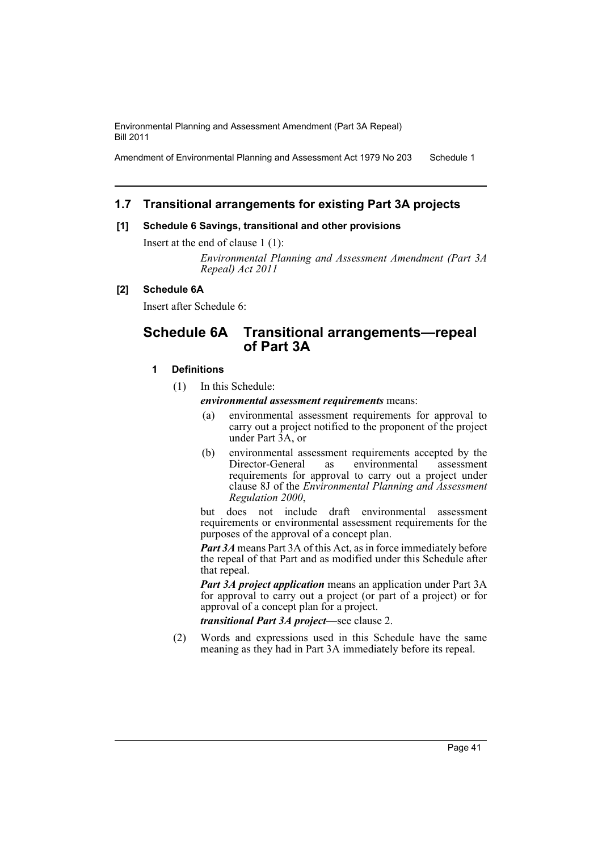Amendment of Environmental Planning and Assessment Act 1979 No 203 Schedule 1

## **1.7 Transitional arrangements for existing Part 3A projects**

## **[1] Schedule 6 Savings, transitional and other provisions**

Insert at the end of clause 1 (1):

*Environmental Planning and Assessment Amendment (Part 3A Repeal) Act 2011*

## **[2] Schedule 6A**

Insert after Schedule 6:

## **Schedule 6A Transitional arrangements—repeal of Part 3A**

## **1 Definitions**

(1) In this Schedule:

*environmental assessment requirements* means:

- (a) environmental assessment requirements for approval to carry out a project notified to the proponent of the project under Part 3A, or
- (b) environmental assessment requirements accepted by the Director-General as environmental assessment requirements for approval to carry out a project under clause 8J of the *Environmental Planning and Assessment Regulation 2000*,

but does not include draft environmental assessment requirements or environmental assessment requirements for the purposes of the approval of a concept plan.

*Part 3A* means Part 3A of this Act, as in force immediately before the repeal of that Part and as modified under this Schedule after that repeal.

*Part 3A project application* means an application under Part 3A for approval to carry out a project (or part of a project) or for approval of a concept plan for a project.

*transitional Part 3A project*—see clause 2.

(2) Words and expressions used in this Schedule have the same meaning as they had in Part 3A immediately before its repeal.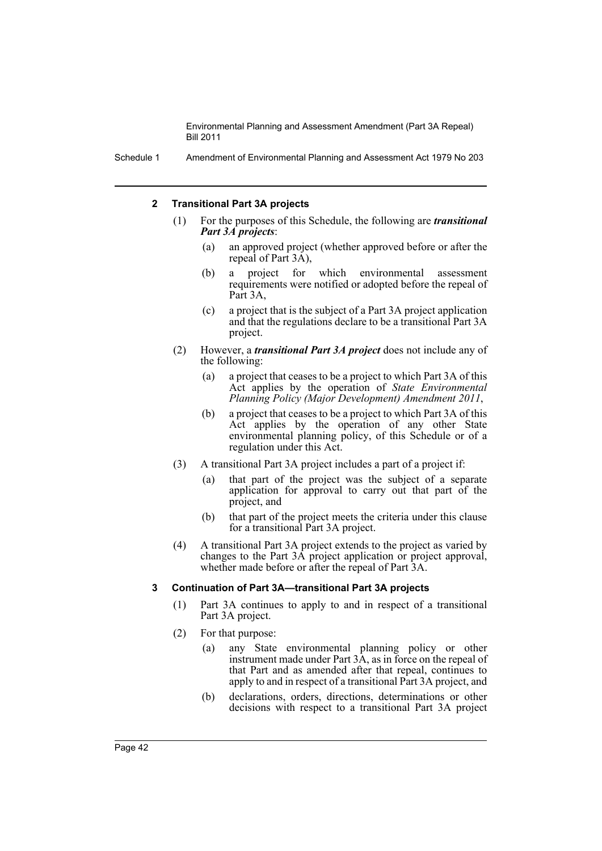Schedule 1 Amendment of Environmental Planning and Assessment Act 1979 No 203

#### **2 Transitional Part 3A projects**

- (1) For the purposes of this Schedule, the following are *transitional Part 3A projects*:
	- (a) an approved project (whether approved before or after the repeal of Part 3A),
	- (b) a project for which environmental assessment requirements were notified or adopted before the repeal of Part 3A.
	- (c) a project that is the subject of a Part 3A project application and that the regulations declare to be a transitional Part 3A project.
- (2) However, a *transitional Part 3A project* does not include any of the following:
	- (a) a project that ceases to be a project to which Part 3A of this Act applies by the operation of *State Environmental Planning Policy (Major Development) Amendment 2011*,
	- (b) a project that ceases to be a project to which Part 3A of this Act applies by the operation of any other State environmental planning policy, of this Schedule or of a regulation under this Act.
- (3) A transitional Part 3A project includes a part of a project if:
	- (a) that part of the project was the subject of a separate application for approval to carry out that part of the project, and
	- (b) that part of the project meets the criteria under this clause for a transitional Part 3A project.
- (4) A transitional Part 3A project extends to the project as varied by changes to the Part 3A project application or project approval, whether made before or after the repeal of Part 3A.

## **3 Continuation of Part 3A—transitional Part 3A projects**

- (1) Part 3A continues to apply to and in respect of a transitional Part 3A project.
- (2) For that purpose:
	- (a) any State environmental planning policy or other instrument made under Part 3A, as in force on the repeal of that Part and as amended after that repeal, continues to apply to and in respect of a transitional Part 3A project, and
	- (b) declarations, orders, directions, determinations or other decisions with respect to a transitional Part 3A project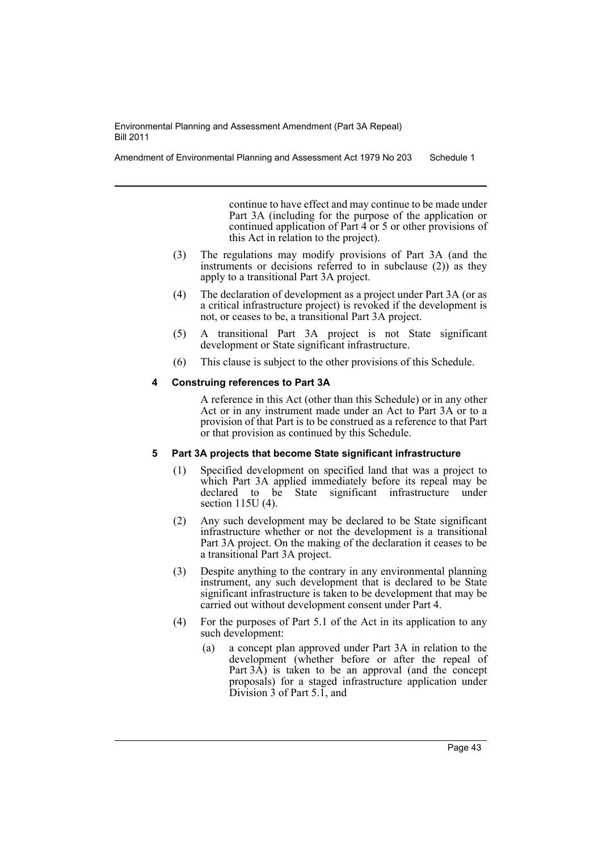Amendment of Environmental Planning and Assessment Act 1979 No 203 Schedule 1

continue to have effect and may continue to be made under Part 3A (including for the purpose of the application or continued application of Part 4 or 5 or other provisions of this Act in relation to the project).

- (3) The regulations may modify provisions of Part 3A (and the instruments or decisions referred to in subclause (2)) as they apply to a transitional Part 3A project.
- (4) The declaration of development as a project under Part 3A (or as a critical infrastructure project) is revoked if the development is not, or ceases to be, a transitional Part 3A project.
- (5) A transitional Part 3A project is not State significant development or State significant infrastructure.
- (6) This clause is subject to the other provisions of this Schedule.

## **4 Construing references to Part 3A**

A reference in this Act (other than this Schedule) or in any other Act or in any instrument made under an Act to Part 3A or to a provision of that Part is to be construed as a reference to that Part or that provision as continued by this Schedule.

## **5 Part 3A projects that become State significant infrastructure**

- (1) Specified development on specified land that was a project to which Part 3A applied immediately before its repeal may be declared to be State significant infrastructure under section 115U (4).
- (2) Any such development may be declared to be State significant infrastructure whether or not the development is a transitional Part 3A project. On the making of the declaration it ceases to be a transitional Part 3A project.
- (3) Despite anything to the contrary in any environmental planning instrument, any such development that is declared to be State significant infrastructure is taken to be development that may be carried out without development consent under Part 4.
- (4) For the purposes of Part 5.1 of the Act in its application to any such development:
	- (a) a concept plan approved under Part 3A in relation to the development (whether before or after the repeal of Part  $3\overrightarrow{A}$ ) is taken to be an approval (and the concept proposals) for a staged infrastructure application under Division 3 of Part 5.1, and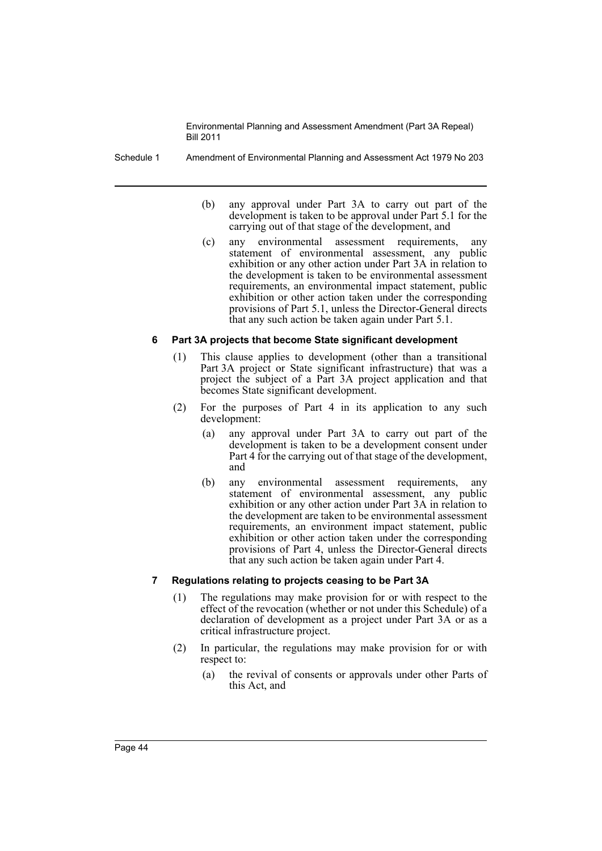Schedule 1 Amendment of Environmental Planning and Assessment Act 1979 No 203

- (b) any approval under Part 3A to carry out part of the development is taken to be approval under Part 5.1 for the carrying out of that stage of the development, and
- (c) any environmental assessment requirements, any statement of environmental assessment, any public exhibition or any other action under Part 3A in relation to the development is taken to be environmental assessment requirements, an environmental impact statement, public exhibition or other action taken under the corresponding provisions of Part 5.1, unless the Director-General directs that any such action be taken again under Part 5.1.

## **6 Part 3A projects that become State significant development**

- (1) This clause applies to development (other than a transitional Part 3A project or State significant infrastructure) that was a project the subject of a Part 3A project application and that becomes State significant development.
- (2) For the purposes of Part 4 in its application to any such development:
	- (a) any approval under Part 3A to carry out part of the development is taken to be a development consent under Part 4 for the carrying out of that stage of the development, and
	- (b) any environmental assessment requirements, any statement of environmental assessment, any public exhibition or any other action under Part 3A in relation to the development are taken to be environmental assessment requirements, an environment impact statement, public exhibition or other action taken under the corresponding provisions of Part 4, unless the Director-General directs that any such action be taken again under Part 4.

## **7 Regulations relating to projects ceasing to be Part 3A**

- (1) The regulations may make provision for or with respect to the effect of the revocation (whether or not under this Schedule) of a declaration of development as a project under Part 3A or as a critical infrastructure project.
- (2) In particular, the regulations may make provision for or with respect to:
	- (a) the revival of consents or approvals under other Parts of this Act, and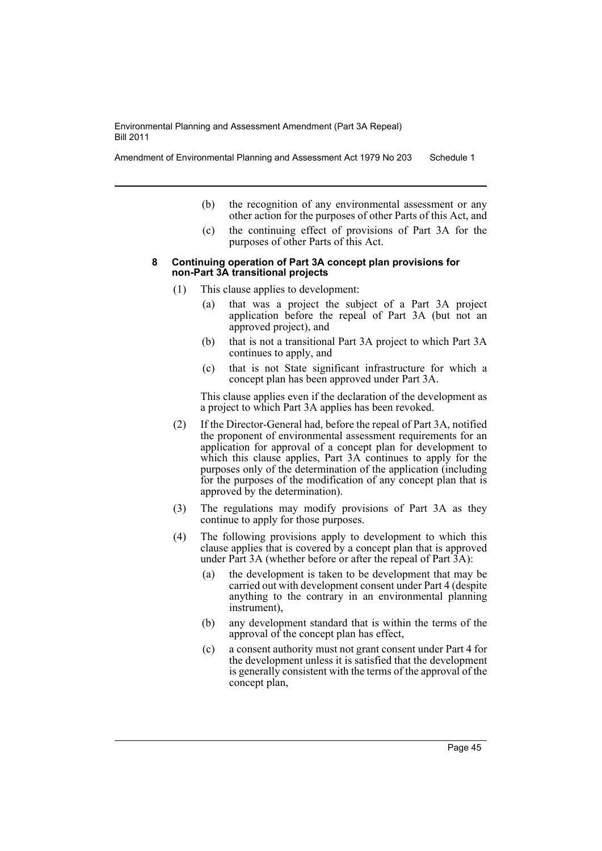Amendment of Environmental Planning and Assessment Act 1979 No 203 Schedule 1

- (b) the recognition of any environmental assessment or any other action for the purposes of other Parts of this Act, and
- (c) the continuing effect of provisions of Part 3A for the purposes of other Parts of this Act.
- **8 Continuing operation of Part 3A concept plan provisions for non-Part 3A transitional projects**
	- (1) This clause applies to development:
		- (a) that was a project the subject of a Part 3A project application before the repeal of Part 3A (but not an approved project), and
		- (b) that is not a transitional Part 3A project to which Part 3A continues to apply, and
		- (c) that is not State significant infrastructure for which a concept plan has been approved under Part 3A.

This clause applies even if the declaration of the development as a project to which Part 3A applies has been revoked.

- (2) If the Director-General had, before the repeal of Part 3A, notified the proponent of environmental assessment requirements for an application for approval of a concept plan for development to which this clause applies, Part 3A continues to apply for the purposes only of the determination of the application (including for the purposes of the modification of any concept plan that is approved by the determination).
- (3) The regulations may modify provisions of Part 3A as they continue to apply for those purposes.
- (4) The following provisions apply to development to which this clause applies that is covered by a concept plan that is approved under Part 3A (whether before or after the repeal of Part 3A):
	- (a) the development is taken to be development that may be carried out with development consent under Part 4 (despite anything to the contrary in an environmental planning instrument),
	- (b) any development standard that is within the terms of the approval of the concept plan has effect,
	- (c) a consent authority must not grant consent under Part 4 for the development unless it is satisfied that the development is generally consistent with the terms of the approval of the concept plan,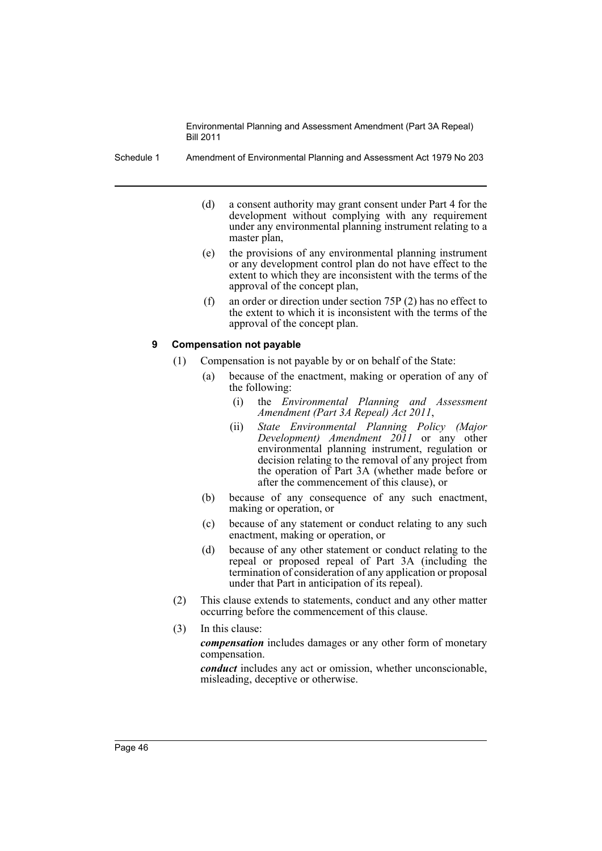Schedule 1 Amendment of Environmental Planning and Assessment Act 1979 No 203

- (d) a consent authority may grant consent under Part 4 for the development without complying with any requirement under any environmental planning instrument relating to a master plan,
- (e) the provisions of any environmental planning instrument or any development control plan do not have effect to the extent to which they are inconsistent with the terms of the approval of the concept plan,
- (f) an order or direction under section 75P (2) has no effect to the extent to which it is inconsistent with the terms of the approval of the concept plan.

## **9 Compensation not payable**

- (1) Compensation is not payable by or on behalf of the State:
	- (a) because of the enactment, making or operation of any of the following:
		- (i) the *Environmental Planning and Assessment Amendment (Part 3A Repeal) Act 2011*,
		- (ii) *State Environmental Planning Policy (Major Development) Amendment 2011* or any other environmental planning instrument, regulation or decision relating to the removal of any project from the operation of Part 3A (whether made before or after the commencement of this clause), or
	- (b) because of any consequence of any such enactment, making or operation, or
	- (c) because of any statement or conduct relating to any such enactment, making or operation, or
	- (d) because of any other statement or conduct relating to the repeal or proposed repeal of Part 3A (including the termination of consideration of any application or proposal under that Part in anticipation of its repeal).
- (2) This clause extends to statements, conduct and any other matter occurring before the commencement of this clause.
- (3) In this clause:

*compensation* includes damages or any other form of monetary compensation.

*conduct* includes any act or omission, whether unconscionable, misleading, deceptive or otherwise.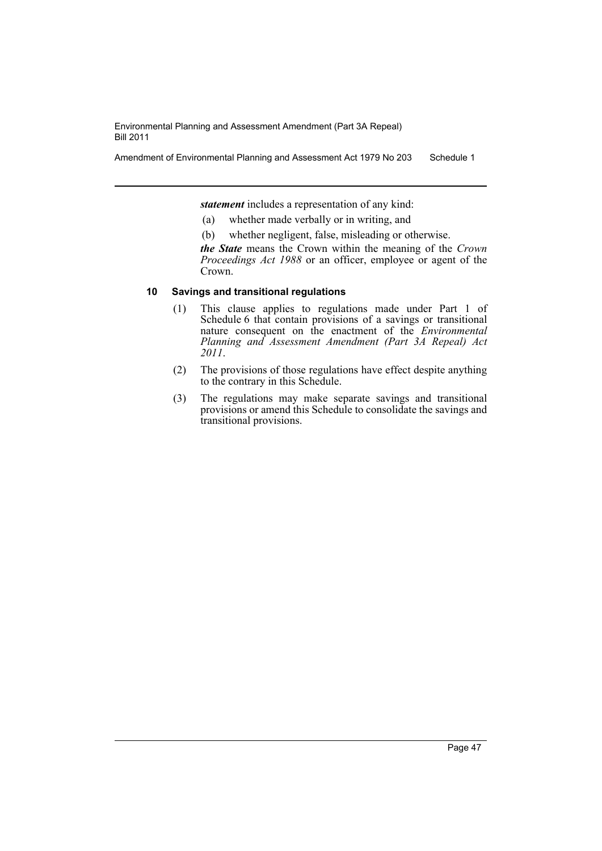Amendment of Environmental Planning and Assessment Act 1979 No 203 Schedule 1

*statement* includes a representation of any kind:

- (a) whether made verbally or in writing, and
- (b) whether negligent, false, misleading or otherwise.

*the State* means the Crown within the meaning of the *Crown Proceedings Act 1988* or an officer, employee or agent of the Crown.

## **10 Savings and transitional regulations**

- (1) This clause applies to regulations made under Part 1 of Schedule 6 that contain provisions of a savings or transitional nature consequent on the enactment of the *Environmental Planning and Assessment Amendment (Part 3A Repeal) Act 2011*.
- (2) The provisions of those regulations have effect despite anything to the contrary in this Schedule.
- (3) The regulations may make separate savings and transitional provisions or amend this Schedule to consolidate the savings and transitional provisions.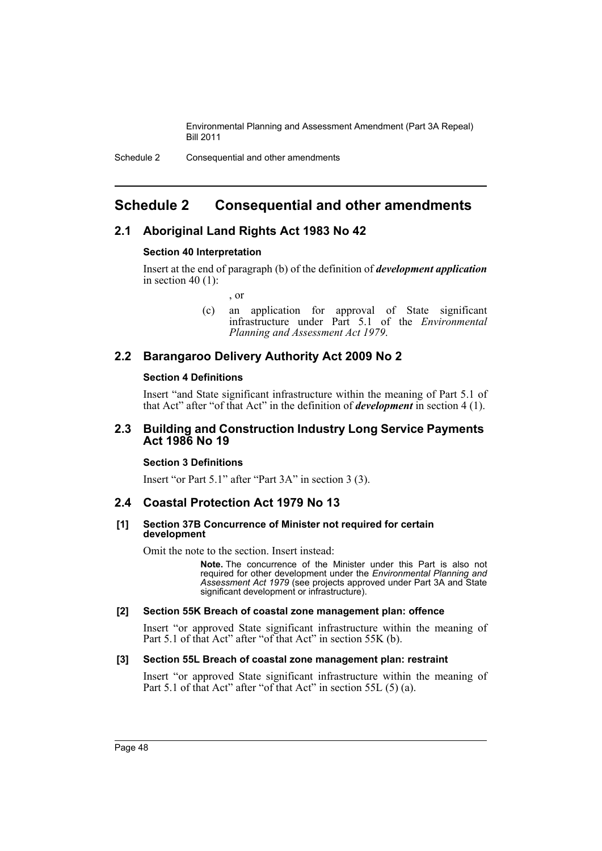## <span id="page-49-0"></span>**Schedule 2 Consequential and other amendments**

## **2.1 Aboriginal Land Rights Act 1983 No 42**

## **Section 40 Interpretation**

Insert at the end of paragraph (b) of the definition of *development application* in section 40 $(1)$ :

, or

(c) an application for approval of State significant infrastructure under Part 5.1 of the *Environmental Planning and Assessment Act 1979*.

## **2.2 Barangaroo Delivery Authority Act 2009 No 2**

## **Section 4 Definitions**

Insert "and State significant infrastructure within the meaning of Part 5.1 of that Act" after "of that Act" in the definition of *development* in section 4 (1).

## **2.3 Building and Construction Industry Long Service Payments Act 1986 No 19**

## **Section 3 Definitions**

Insert "or Part 5.1" after "Part 3A" in section 3 (3).

## **2.4 Coastal Protection Act 1979 No 13**

#### **[1] Section 37B Concurrence of Minister not required for certain development**

Omit the note to the section. Insert instead:

**Note.** The concurrence of the Minister under this Part is also not required for other development under the *Environmental Planning and Assessment Act 1979* (see projects approved under Part 3A and State significant development or infrastructure).

## **[2] Section 55K Breach of coastal zone management plan: offence**

Insert "or approved State significant infrastructure within the meaning of Part 5.1 of that Act" after "of that Act" in section 55K (b).

## **[3] Section 55L Breach of coastal zone management plan: restraint**

Insert "or approved State significant infrastructure within the meaning of Part 5.1 of that Act" after "of that Act" in section 55L (5) (a).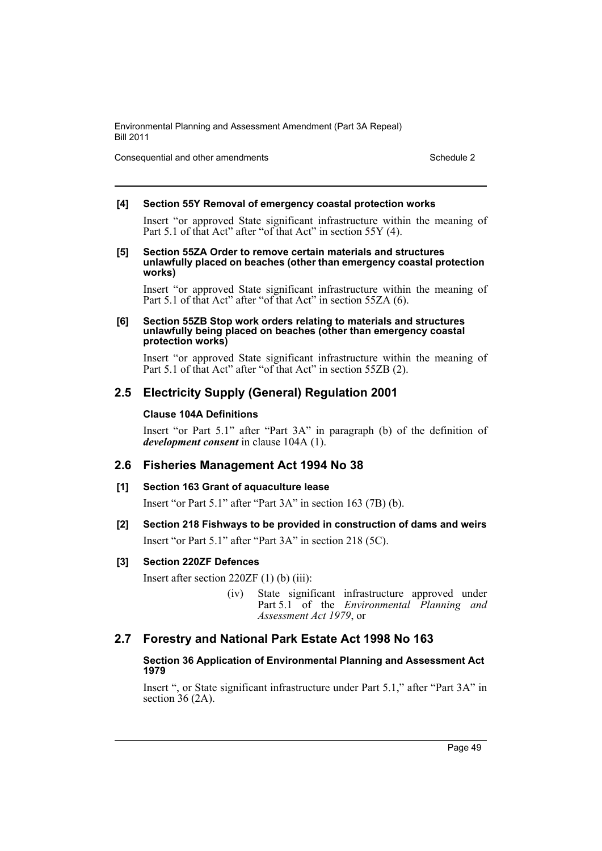Consequential and other amendments Schedule 2

## **[4] Section 55Y Removal of emergency coastal protection works**

Insert "or approved State significant infrastructure within the meaning of Part 5.1 of that Act" after "of that Act" in section 55Y (4).

**[5] Section 55ZA Order to remove certain materials and structures unlawfully placed on beaches (other than emergency coastal protection works)**

Insert "or approved State significant infrastructure within the meaning of Part 5.1 of that Act" after "of that Act" in section 55ZA (6).

#### **[6] Section 55ZB Stop work orders relating to materials and structures unlawfully being placed on beaches (other than emergency coastal protection works)**

Insert "or approved State significant infrastructure within the meaning of Part 5.1 of that Act" after "of that Act" in section 55ZB (2).

## **2.5 Electricity Supply (General) Regulation 2001**

## **Clause 104A Definitions**

Insert "or Part 5.1" after "Part 3A" in paragraph (b) of the definition of *development consent* in clause 104A (1).

## **2.6 Fisheries Management Act 1994 No 38**

## **[1] Section 163 Grant of aquaculture lease**

Insert "or Part 5.1" after "Part 3A" in section 163 (7B) (b).

## **[2] Section 218 Fishways to be provided in construction of dams and weirs**

Insert "or Part 5.1" after "Part 3A" in section 218 (5C).

## **[3] Section 220ZF Defences**

Insert after section 220ZF (1) (b) (iii):

(iv) State significant infrastructure approved under Part 5.1 of the *Environmental* Planning and *Assessment Act 1979*, or

## **2.7 Forestry and National Park Estate Act 1998 No 163**

## **Section 36 Application of Environmental Planning and Assessment Act 1979**

Insert ", or State significant infrastructure under Part 5.1," after "Part 3A" in section 36 (2A).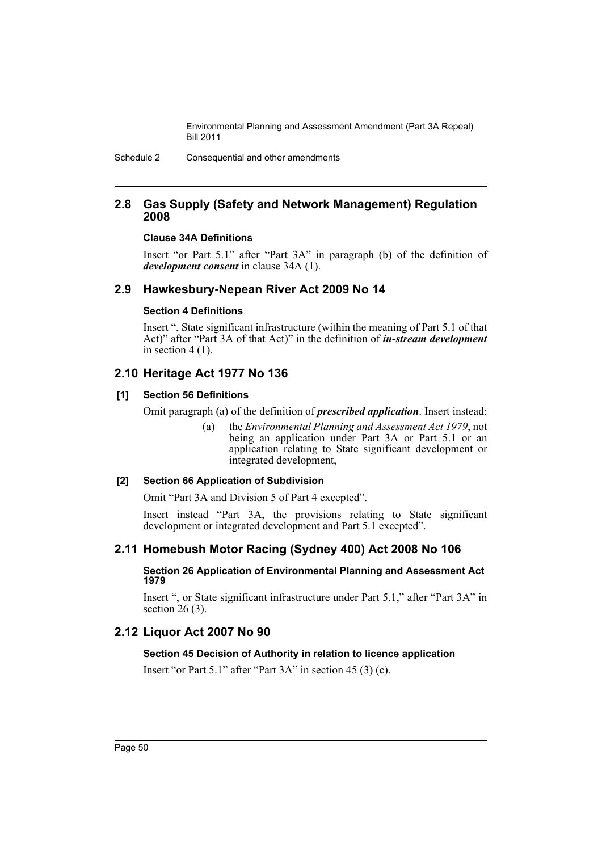Schedule 2 Consequential and other amendments

## **2.8 Gas Supply (Safety and Network Management) Regulation 2008**

#### **Clause 34A Definitions**

Insert "or Part 5.1" after "Part 3A" in paragraph (b) of the definition of *development consent* in clause 34A (1).

## **2.9 Hawkesbury-Nepean River Act 2009 No 14**

#### **Section 4 Definitions**

Insert ", State significant infrastructure (within the meaning of Part 5.1 of that Act)" after "Part 3A of that Act)" in the definition of *in-stream development* in section  $4(1)$ .

## **2.10 Heritage Act 1977 No 136**

## **[1] Section 56 Definitions**

Omit paragraph (a) of the definition of *prescribed application*. Insert instead:

(a) the *Environmental Planning and Assessment Act 1979*, not being an application under Part 3A or Part 5.1 or an application relating to State significant development or integrated development,

## **[2] Section 66 Application of Subdivision**

Omit "Part 3A and Division 5 of Part 4 excepted".

Insert instead "Part 3A, the provisions relating to State significant development or integrated development and Part 5.1 excepted".

## **2.11 Homebush Motor Racing (Sydney 400) Act 2008 No 106**

#### **Section 26 Application of Environmental Planning and Assessment Act 1979**

Insert ", or State significant infrastructure under Part 5.1," after "Part 3A" in section 26 (3).

## **2.12 Liquor Act 2007 No 90**

## **Section 45 Decision of Authority in relation to licence application**

Insert "or Part 5.1" after "Part 3A" in section 45 (3) (c).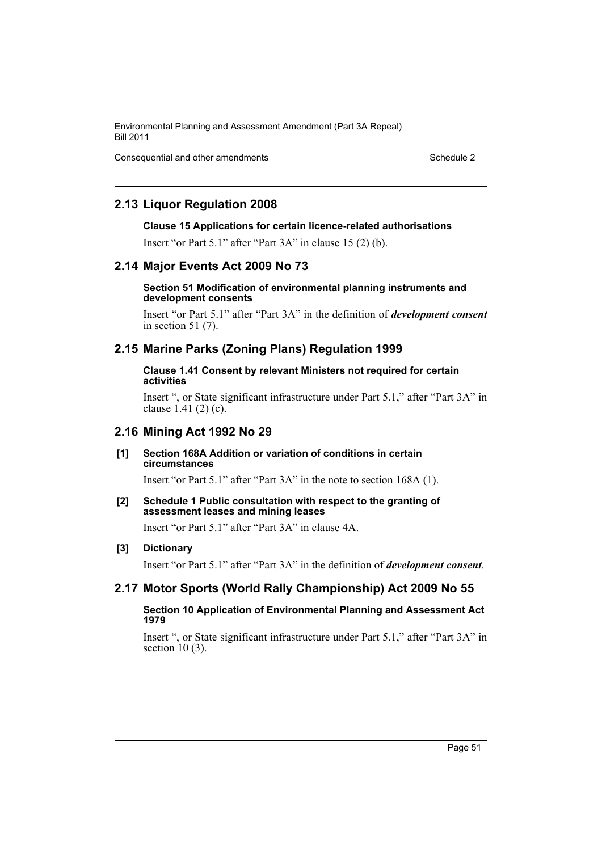Consequential and other amendments Schedule 2

## **2.13 Liquor Regulation 2008**

#### **Clause 15 Applications for certain licence-related authorisations**

Insert "or Part 5.1" after "Part 3A" in clause 15 (2) (b).

## **2.14 Major Events Act 2009 No 73**

#### **Section 51 Modification of environmental planning instruments and development consents**

Insert "or Part 5.1" after "Part 3A" in the definition of *development consent* in section 51 (7).

## **2.15 Marine Parks (Zoning Plans) Regulation 1999**

#### **Clause 1.41 Consent by relevant Ministers not required for certain activities**

Insert ", or State significant infrastructure under Part 5.1," after "Part 3A" in clause 1.41 (2) (c).

## **2.16 Mining Act 1992 No 29**

#### **[1] Section 168A Addition or variation of conditions in certain circumstances**

Insert "or Part 5.1" after "Part 3A" in the note to section 168A (1).

#### **[2] Schedule 1 Public consultation with respect to the granting of assessment leases and mining leases**

Insert "or Part 5.1" after "Part 3A" in clause 4A.

#### **[3] Dictionary**

Insert "or Part 5.1" after "Part 3A" in the definition of *development consent*.

## **2.17 Motor Sports (World Rally Championship) Act 2009 No 55**

#### **Section 10 Application of Environmental Planning and Assessment Act 1979**

Insert ", or State significant infrastructure under Part 5.1," after "Part 3A" in section 10 (3).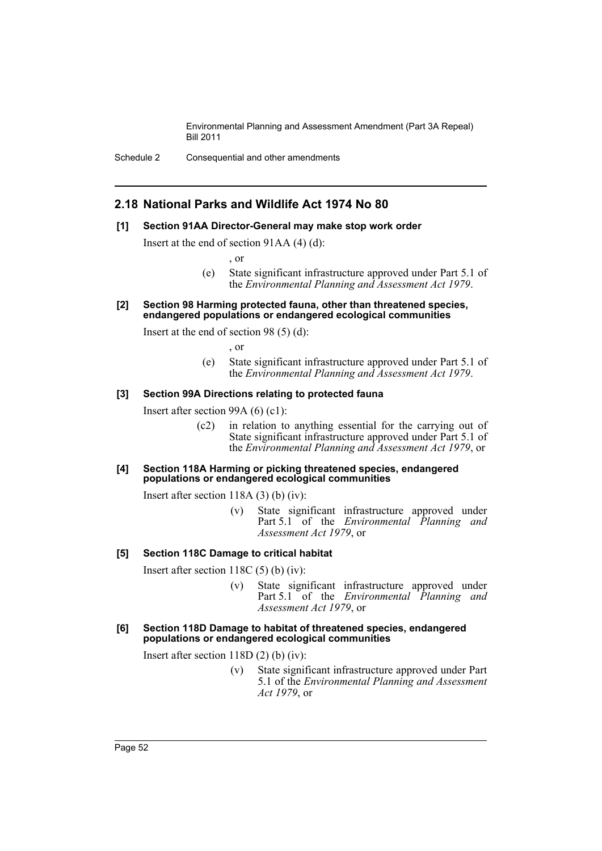## **2.18 National Parks and Wildlife Act 1974 No 80**

#### **[1] Section 91AA Director-General may make stop work order**

Insert at the end of section 91AA (4) (d):

, or

- (e) State significant infrastructure approved under Part 5.1 of the *Environmental Planning and Assessment Act 1979*.
- **[2] Section 98 Harming protected fauna, other than threatened species, endangered populations or endangered ecological communities**

Insert at the end of section 98 (5) (d):

, or

(e) State significant infrastructure approved under Part 5.1 of the *Environmental Planning and Assessment Act 1979*.

#### **[3] Section 99A Directions relating to protected fauna**

Insert after section 99A (6) (c1):

(c2) in relation to anything essential for the carrying out of State significant infrastructure approved under Part 5.1 of the *Environmental Planning and Assessment Act 1979*, or

#### **[4] Section 118A Harming or picking threatened species, endangered populations or endangered ecological communities**

Insert after section 118A (3) (b) (iv):

(v) State significant infrastructure approved under Part 5.1 of the *Environmental Planning and Assessment Act 1979*, or

## **[5] Section 118C Damage to critical habitat**

Insert after section 118C (5) (b) (iv):

- (v) State significant infrastructure approved under Part 5.1 of the *Environmental* Planning and *Assessment Act 1979*, or
- **[6] Section 118D Damage to habitat of threatened species, endangered populations or endangered ecological communities**

Insert after section 118D (2) (b) (iv):

(v) State significant infrastructure approved under Part 5.1 of the *Environmental Planning and Assessment Act 1979*, or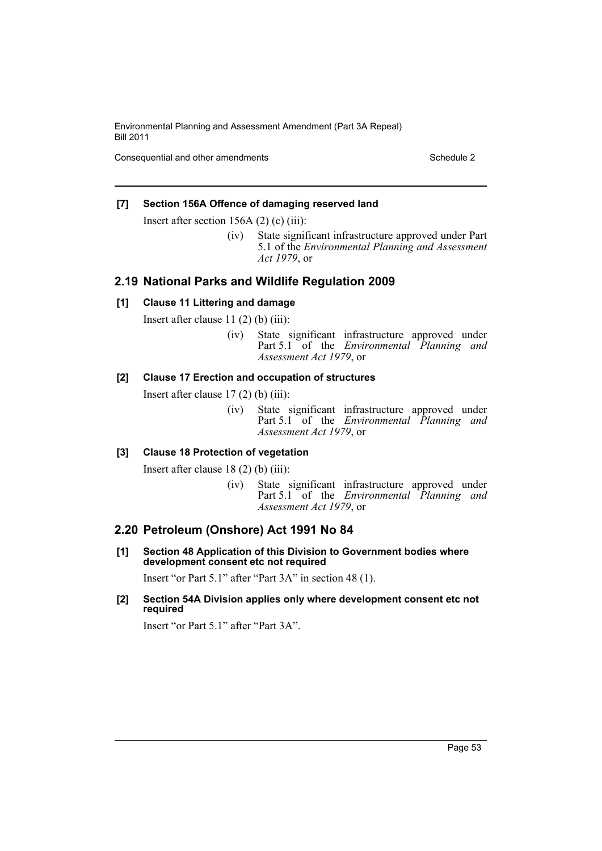Consequential and other amendments Schedule 2

## **[7] Section 156A Offence of damaging reserved land**

Insert after section 156A (2) (c) (iii):

(iv) State significant infrastructure approved under Part 5.1 of the *Environmental Planning and Assessment Act 1979*, or

## **2.19 National Parks and Wildlife Regulation 2009**

## **[1] Clause 11 Littering and damage**

Insert after clause  $11(2)$  (b) (iii):

(iv) State significant infrastructure approved under Part 5.1 of the *Environmental Planning and Assessment Act 1979*, or

## **[2] Clause 17 Erection and occupation of structures**

Insert after clause  $17(2)$  (b) (iii):

(iv) State significant infrastructure approved under Part 5.1 of the *Environmental Planning and Assessment Act 1979*, or

## **[3] Clause 18 Protection of vegetation**

Insert after clause 18 (2) (b) (iii):

(iv) State significant infrastructure approved under Part 5.1 of the *Environmental Planning and Assessment Act 1979*, or

## **2.20 Petroleum (Onshore) Act 1991 No 84**

**[1] Section 48 Application of this Division to Government bodies where development consent etc not required**

Insert "or Part 5.1" after "Part 3A" in section 48 (1).

**[2] Section 54A Division applies only where development consent etc not required**

Insert "or Part 5.1" after "Part 3A".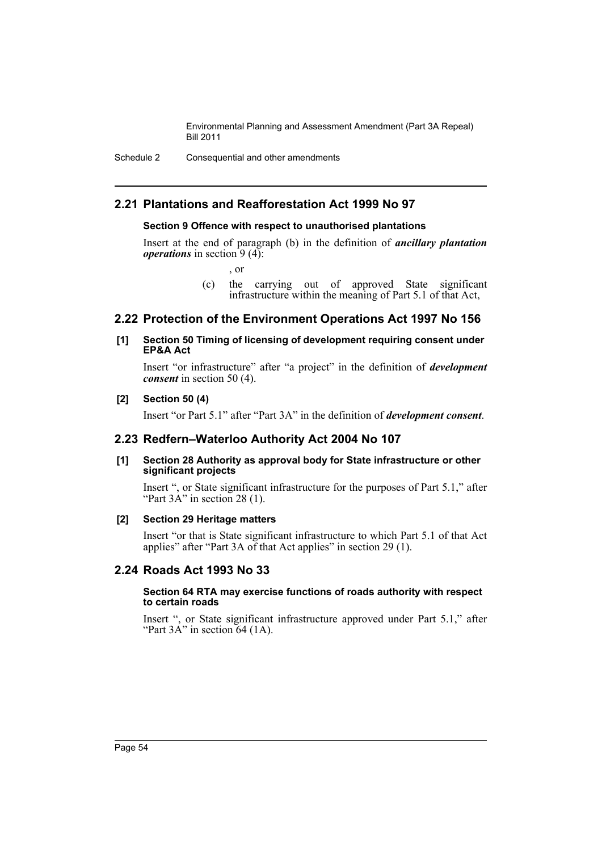Schedule 2 Consequential and other amendments

## **2.21 Plantations and Reafforestation Act 1999 No 97**

## **Section 9 Offence with respect to unauthorised plantations**

Insert at the end of paragraph (b) in the definition of *ancillary plantation operations* in section 9 (4):

, or

(c) the carrying out of approved State significant infrastructure within the meaning of Part 5.1 of that Act,

## **2.22 Protection of the Environment Operations Act 1997 No 156**

#### **[1] Section 50 Timing of licensing of development requiring consent under EP&A Act**

Insert "or infrastructure" after "a project" in the definition of *development consent* in section 50 (4).

#### **[2] Section 50 (4)**

Insert "or Part 5.1" after "Part 3A" in the definition of *development consent*.

## **2.23 Redfern–Waterloo Authority Act 2004 No 107**

#### **[1] Section 28 Authority as approval body for State infrastructure or other significant projects**

Insert ", or State significant infrastructure for the purposes of Part 5.1," after "Part 3A" in section 28 (1).

#### **[2] Section 29 Heritage matters**

Insert "or that is State significant infrastructure to which Part 5.1 of that Act applies" after "Part 3A of that Act applies" in section 29 (1).

## **2.24 Roads Act 1993 No 33**

#### **Section 64 RTA may exercise functions of roads authority with respect to certain roads**

Insert ", or State significant infrastructure approved under Part 5.1," after "Part  $3A$ " in section 64 (1A).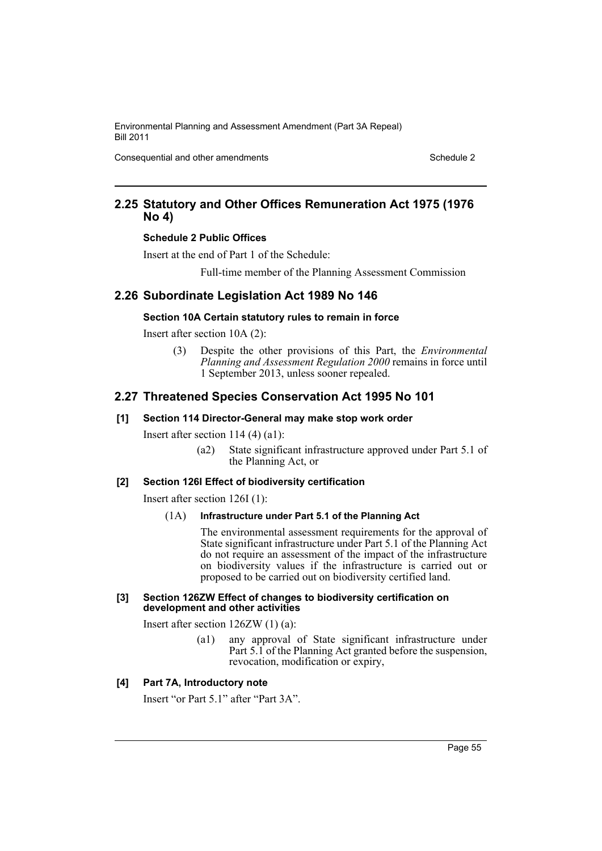Consequential and other amendments Schedule 2

## **2.25 Statutory and Other Offices Remuneration Act 1975 (1976 No 4)**

#### **Schedule 2 Public Offices**

Insert at the end of Part 1 of the Schedule:

Full-time member of the Planning Assessment Commission

## **2.26 Subordinate Legislation Act 1989 No 146**

#### **Section 10A Certain statutory rules to remain in force**

Insert after section 10A (2):

(3) Despite the other provisions of this Part, the *Environmental Planning and Assessment Regulation 2000* remains in force until 1 September 2013, unless sooner repealed.

## **2.27 Threatened Species Conservation Act 1995 No 101**

#### **[1] Section 114 Director-General may make stop work order**

Insert after section 114 (4) (a1):

(a2) State significant infrastructure approved under Part 5.1 of the Planning Act, or

#### **[2] Section 126I Effect of biodiversity certification**

Insert after section 126I (1):

#### (1A) **Infrastructure under Part 5.1 of the Planning Act**

The environmental assessment requirements for the approval of State significant infrastructure under Part 5.1 of the Planning Act do not require an assessment of the impact of the infrastructure on biodiversity values if the infrastructure is carried out or proposed to be carried out on biodiversity certified land.

#### **[3] Section 126ZW Effect of changes to biodiversity certification on development and other activities**

Insert after section 126ZW (1) (a):

(a1) any approval of State significant infrastructure under Part 5.1 of the Planning Act granted before the suspension, revocation, modification or expiry,

## **[4] Part 7A, Introductory note**

Insert "or Part 5.1" after "Part 3A".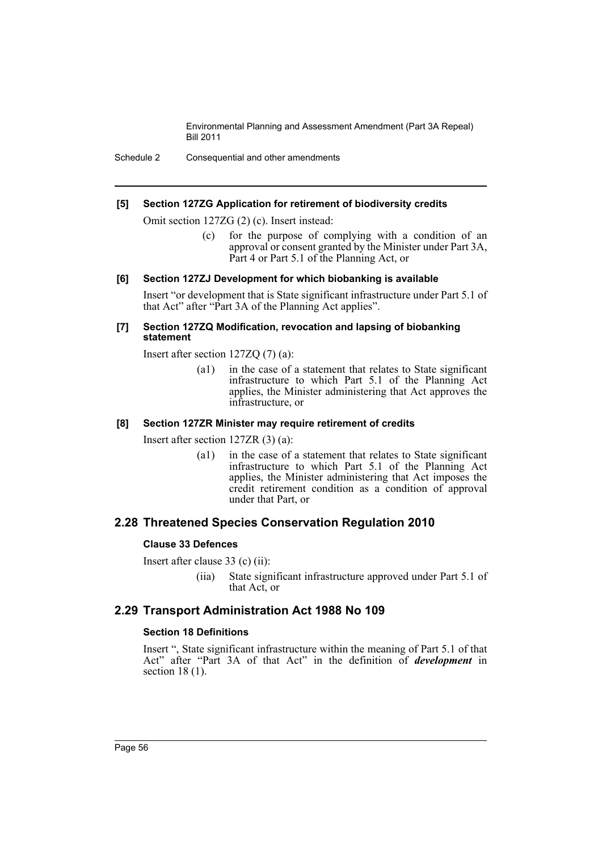Schedule 2 Consequential and other amendments

#### **[5] Section 127ZG Application for retirement of biodiversity credits**

Omit section 127ZG (2) (c). Insert instead:

(c) for the purpose of complying with a condition of an approval or consent granted by the Minister under Part 3A, Part 4 or Part 5.1 of the Planning Act, or

#### **[6] Section 127ZJ Development for which biobanking is available**

Insert "or development that is State significant infrastructure under Part 5.1 of that Act" after "Part 3A of the Planning Act applies".

#### **[7] Section 127ZQ Modification, revocation and lapsing of biobanking statement**

Insert after section 127ZQ (7) (a):

(a1) in the case of a statement that relates to State significant infrastructure to which Part 5.1 of the Planning Act applies, the Minister administering that Act approves the infrastructure, or

#### **[8] Section 127ZR Minister may require retirement of credits**

Insert after section 127ZR (3) (a):

(a1) in the case of a statement that relates to State significant infrastructure to which Part 5.1 of the Planning Act applies, the Minister administering that Act imposes the credit retirement condition as a condition of approval under that Part, or

## **2.28 Threatened Species Conservation Regulation 2010**

#### **Clause 33 Defences**

Insert after clause 33 (c) (ii):

(iia) State significant infrastructure approved under Part 5.1 of that Act, or

## **2.29 Transport Administration Act 1988 No 109**

#### **Section 18 Definitions**

Insert ", State significant infrastructure within the meaning of Part 5.1 of that Act" after "Part 3A of that Act" in the definition of *development* in section 18 (1).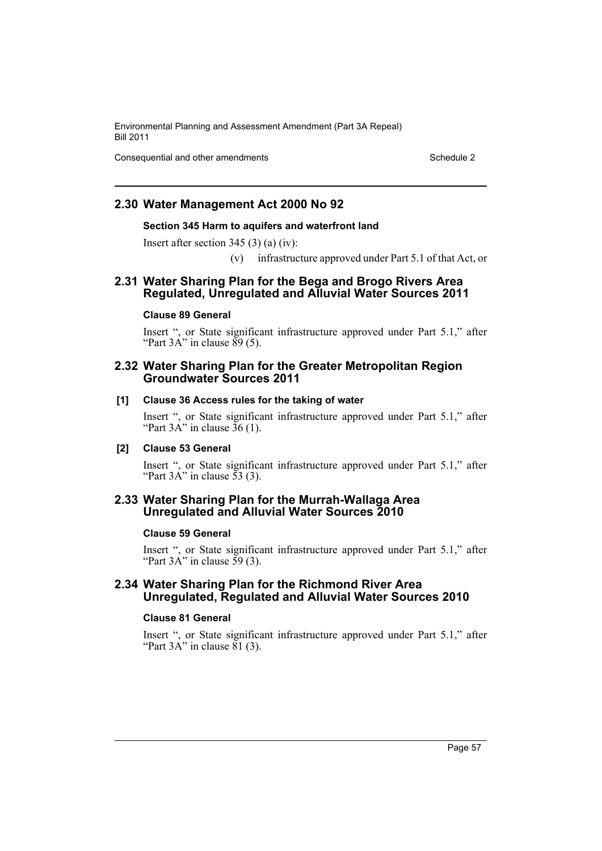Consequential and other amendments Schedule 2

## **2.30 Water Management Act 2000 No 92**

#### **Section 345 Harm to aquifers and waterfront land**

Insert after section 345 (3) (a) (iv):

(v) infrastructure approved under Part 5.1 of that Act, or

## **2.31 Water Sharing Plan for the Bega and Brogo Rivers Area Regulated, Unregulated and Alluvial Water Sources 2011**

#### **Clause 89 General**

Insert ", or State significant infrastructure approved under Part 5.1," after "Part  $3A$ " in clause  $89(5)$ .

## **2.32 Water Sharing Plan for the Greater Metropolitan Region Groundwater Sources 2011**

#### **[1] Clause 36 Access rules for the taking of water**

Insert ", or State significant infrastructure approved under Part 5.1," after "Part  $3A$ " in clause  $36(1)$ .

#### **[2] Clause 53 General**

Insert ", or State significant infrastructure approved under Part 5.1," after "Part  $3A$ " in clause  $\overline{53}$  (3).

## **2.33 Water Sharing Plan for the Murrah-Wallaga Area Unregulated and Alluvial Water Sources 2010**

#### **Clause 59 General**

Insert ", or State significant infrastructure approved under Part 5.1," after "Part  $3A$ " in clause  $\overline{59}$  (3).

## **2.34 Water Sharing Plan for the Richmond River Area Unregulated, Regulated and Alluvial Water Sources 2010**

#### **Clause 81 General**

Insert ", or State significant infrastructure approved under Part 5.1," after "Part  $3A$ " in clause  $81$  (3).